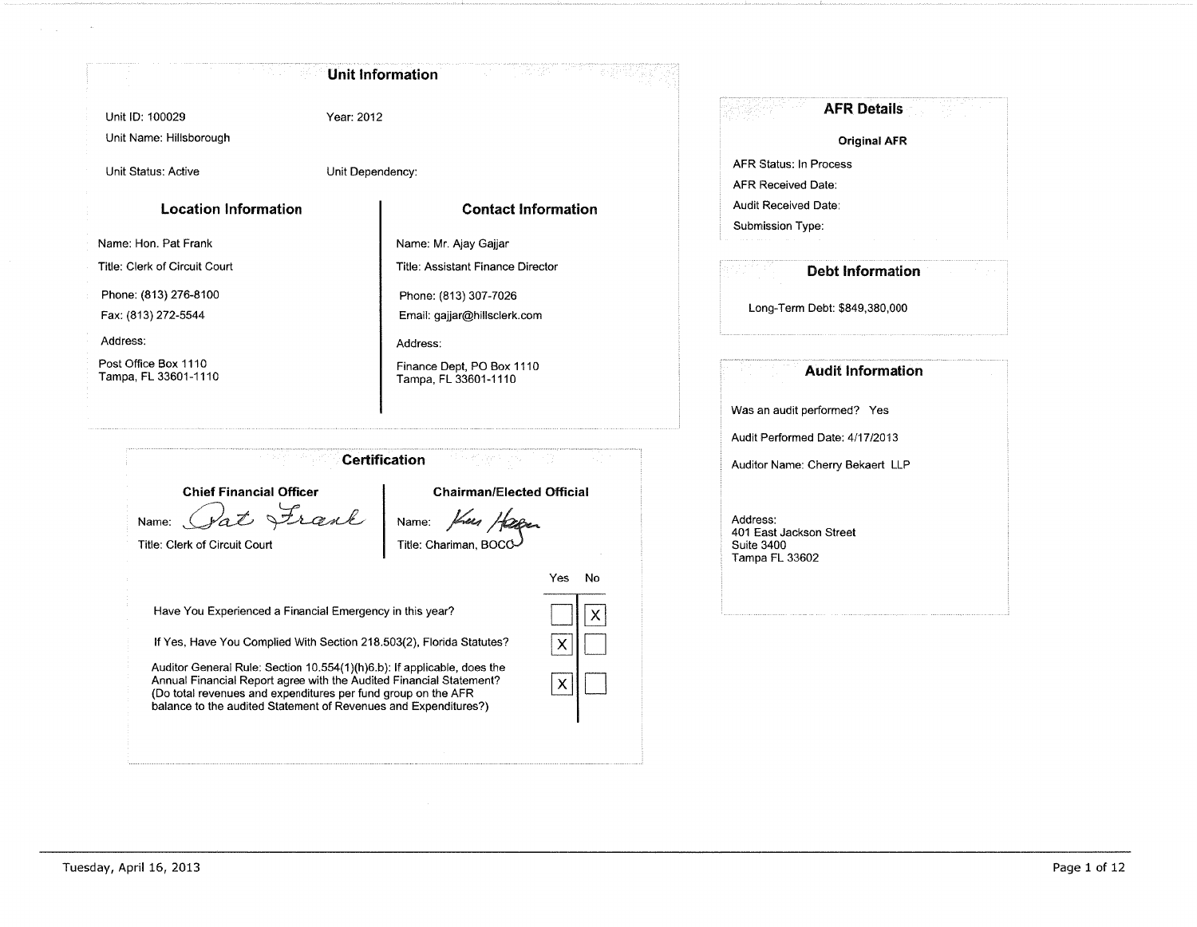## **Unit Information**

Unit ID: 100029 Unit Name: Hillsborough Year: 2012

Unit Status: Active

Unit Dependency:

## **Location Information**

**Contact Information** 

Name: Hon. Pat Frank

Title: Clerk of Circuit Court

Phone: (813) 276-8100

Fax: (813) 272-5544

Address:

Post Office Box 1110 Tampa, FL 33601-1110

Title: Assistant Finance Director Phone: (813) 307-7026 Email: gajjar@hillsclerk.com Address: Finance Dept, PO Box 1110 Tampa, FL 33601-1110

Name: Mr. Ajay Gajjar

**Certification** 

**Chairman/Elected Official** 

No

 $\times$ 

Yes

 $\boldsymbol{\mathsf{X}}$ 

 $\mathsf{x}$ 

**Chief Financial Officer** 

Frank Name:

Title: Clerk of Circuit Court

Name: Title: Chariman, BOCC

Have You Experienced a Financial Emergency in this year?

If Yes, Have You Complied With Section 218.503(2), Florida Statutes?

Auditor General Rule: Section 10.554(1)(h)6.b): If applicable, does the Annual Financial Report agree with the Audited Financial Statement? (Do total revenues and expenditures per fund group on the AFR balance to the audited Statement of Revenues and Expenditures?)

|                                  |                               | <b>AFR Details</b>  |  |
|----------------------------------|-------------------------------|---------------------|--|
|                                  |                               | <b>Original AFR</b> |  |
| <b>AFR Status: In Process</b>    |                               |                     |  |
| <b>AFR Received Date:</b>        |                               |                     |  |
| <b>Audit Received Date:</b>      |                               |                     |  |
| Submission Type:                 |                               |                     |  |
|                                  | <b>Debt Information</b>       |                     |  |
|                                  | Long-Term Debt: \$849,380,000 |                     |  |
|                                  | <b>Audit Information</b>      |                     |  |
| Was an audit performed? Yes      |                               |                     |  |
| Audit Performed Date: 4/17/2013  |                               |                     |  |
| Auditor Name: Cherry Bekaert LLP |                               |                     |  |
|                                  |                               |                     |  |

Address: 401 East Jackson Street **Suite 3400** Tampa FL 33602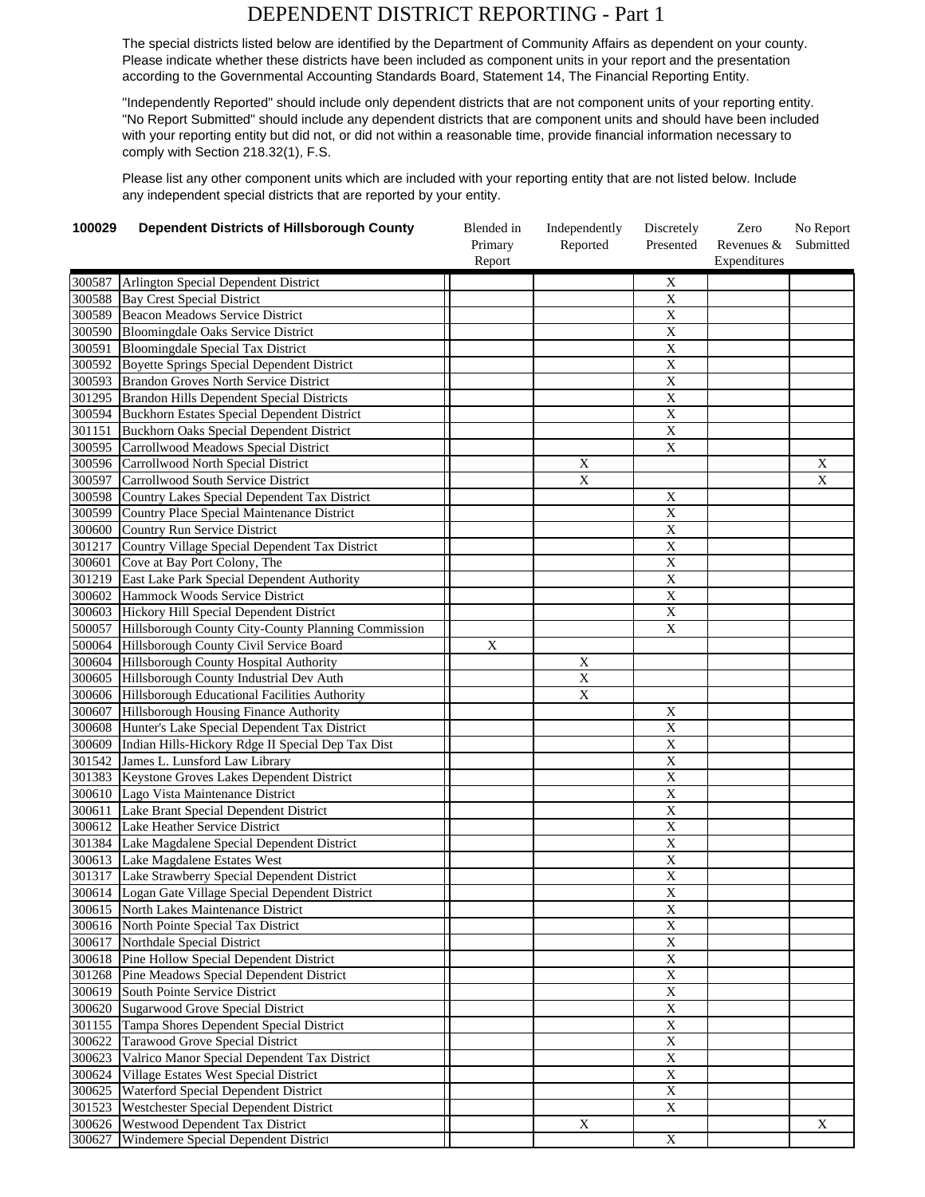## DEPENDENT DISTRICT REPORTING - Part 1

The special districts listed below are identified by the Department of Community Affairs as dependent on your county. Please indicate whether these districts have been included as component units in your report and the presentation according to the Governmental Accounting Standards Board, Statement 14, The Financial Reporting Entity.

"Independently Reported" should include only dependent districts that are not component units of your reporting entity. "No Report Submitted" should include any dependent districts that are component units and should have been included with your reporting entity but did not, or did not within a reasonable time, provide financial information necessary to comply with Section 218.32(1), F.S.

Please list any other component units which are included with your reporting entity that are not listed below. Include any independent special districts that are reported by your entity.

| 100029 | <b>Dependent Districts of Hillsborough County</b>    | Blended in        | Independently  | Discretely              | Zero<br>Revenues & | No Report      |
|--------|------------------------------------------------------|-------------------|----------------|-------------------------|--------------------|----------------|
|        |                                                      | Primary<br>Report | Reported       | Presented               | Expenditures       | Submitted      |
| 300587 | Arlington Special Dependent District                 |                   |                | X                       |                    |                |
| 300588 | <b>Bay Crest Special District</b>                    |                   |                | $\overline{X}$          |                    |                |
| 300589 | <b>Beacon Meadows Service District</b>               |                   |                | $\mathbf X$             |                    |                |
| 300590 | Bloomingdale Oaks Service District                   |                   |                | $\mathbf X$             |                    |                |
| 300591 | <b>Bloomingdale Special Tax District</b>             |                   |                | $\mathbf X$             |                    |                |
| 300592 | <b>Boyette Springs Special Dependent District</b>    |                   |                | $\overline{\mathbf{X}}$ |                    |                |
| 300593 | <b>Brandon Groves North Service District</b>         |                   |                | $\overline{X}$          |                    |                |
| 301295 | Brandon Hills Dependent Special Districts            |                   |                | $\mathbf X$             |                    |                |
| 300594 | <b>Buckhorn Estates Special Dependent District</b>   |                   |                | $\overline{X}$          |                    |                |
| 301151 | Buckhorn Oaks Special Dependent District             |                   |                | $\overline{X}$          |                    |                |
| 300595 | Carrollwood Meadows Special District                 |                   |                | $\overline{X}$          |                    |                |
| 300596 | Carrollwood North Special District                   |                   | X              |                         |                    | X              |
| 300597 | Carrollwood South Service District                   |                   | $\overline{X}$ |                         |                    | $\overline{X}$ |
| 300598 | Country Lakes Special Dependent Tax District         |                   |                | X                       |                    |                |
| 300599 | Country Place Special Maintenance District           |                   |                | $\mathbf X$             |                    |                |
| 300600 | Country Run Service District                         |                   |                | $\overline{X}$          |                    |                |
| 301217 | Country Village Special Dependent Tax District       |                   |                | $\overline{X}$          |                    |                |
| 300601 | Cove at Bay Port Colony, The                         |                   |                | $\overline{X}$          |                    |                |
| 301219 | East Lake Park Special Dependent Authority           |                   |                | $\mathbf X$             |                    |                |
| 300602 | Hammock Woods Service District                       |                   |                | $\overline{X}$          |                    |                |
| 300603 | Hickory Hill Special Dependent District              |                   |                | $\overline{X}$          |                    |                |
| 500057 | Hillsborough County City-County Planning Commission  |                   |                | X                       |                    |                |
| 500064 | Hillsborough County Civil Service Board              | X                 |                |                         |                    |                |
| 300604 | Hillsborough County Hospital Authority               |                   | $\mathbf X$    |                         |                    |                |
| 300605 | Hillsborough County Industrial Dev Auth              |                   | $\overline{X}$ |                         |                    |                |
| 300606 | Hillsborough Educational Facilities Authority        |                   | $\mathbf X$    |                         |                    |                |
| 300607 | Hillsborough Housing Finance Authority               |                   |                | X                       |                    |                |
| 300608 | Hunter's Lake Special Dependent Tax District         |                   |                | $\overline{X}$          |                    |                |
| 300609 | Indian Hills-Hickory Rdge II Special Dep Tax Dist    |                   |                | $\overline{X}$          |                    |                |
| 301542 | James L. Lunsford Law Library                        |                   |                | $\mathbf X$             |                    |                |
| 301383 | Keystone Groves Lakes Dependent District             |                   |                | $\mathbf X$             |                    |                |
| 300610 | Lago Vista Maintenance District                      |                   |                | $\overline{X}$          |                    |                |
| 300611 | Lake Brant Special Dependent District                |                   |                | $\mathbf X$             |                    |                |
| 300612 | Lake Heather Service District                        |                   |                | $\overline{X}$          |                    |                |
| 301384 | Lake Magdalene Special Dependent District            |                   |                | $\overline{X}$          |                    |                |
| 300613 | Lake Magdalene Estates West                          |                   |                | $\mathbf X$             |                    |                |
| 301317 | Lake Strawberry Special Dependent District           |                   |                | $\mathbf X$             |                    |                |
|        | 300614 Logan Gate Village Special Dependent District |                   |                | $\overline{X}$          |                    |                |
| 300615 | North Lakes Maintenance District                     |                   |                | $\mathbf X$             |                    |                |
| 300616 | North Pointe Special Tax District                    |                   |                | $\overline{\textbf{X}}$ |                    |                |
| 300617 | Northdale Special District                           |                   |                | $\overline{\textbf{X}}$ |                    |                |
| 300618 | Pine Hollow Special Dependent District               |                   |                | $\mathbf X$             |                    |                |
| 301268 | Pine Meadows Special Dependent District              |                   |                | $\overline{\textbf{X}}$ |                    |                |
| 300619 | South Pointe Service District                        |                   |                | $\mathbf X$             |                    |                |
| 300620 | <b>Sugarwood Grove Special District</b>              |                   |                | $\overline{\textbf{X}}$ |                    |                |
| 301155 | Tampa Shores Dependent Special District              |                   |                | $\overline{X}$          |                    |                |
| 300622 | Tarawood Grove Special District                      |                   |                | $\mathbf X$             |                    |                |
| 300623 | Valrico Manor Special Dependent Tax District         |                   |                | $\mathbf X$             |                    |                |
| 300624 | Village Estates West Special District                |                   |                | $\overline{X}$          |                    |                |
| 300625 | Waterford Special Dependent District                 |                   |                | $\overline{\textbf{X}}$ |                    |                |
| 301523 | Westchester Special Dependent District               |                   |                | $\mathbf X$             |                    |                |
| 300626 | Westwood Dependent Tax District                      |                   | $\mathbf X$    |                         |                    | X              |
| 300627 | Windemere Special Dependent District                 |                   |                | $\overline{X}$          |                    |                |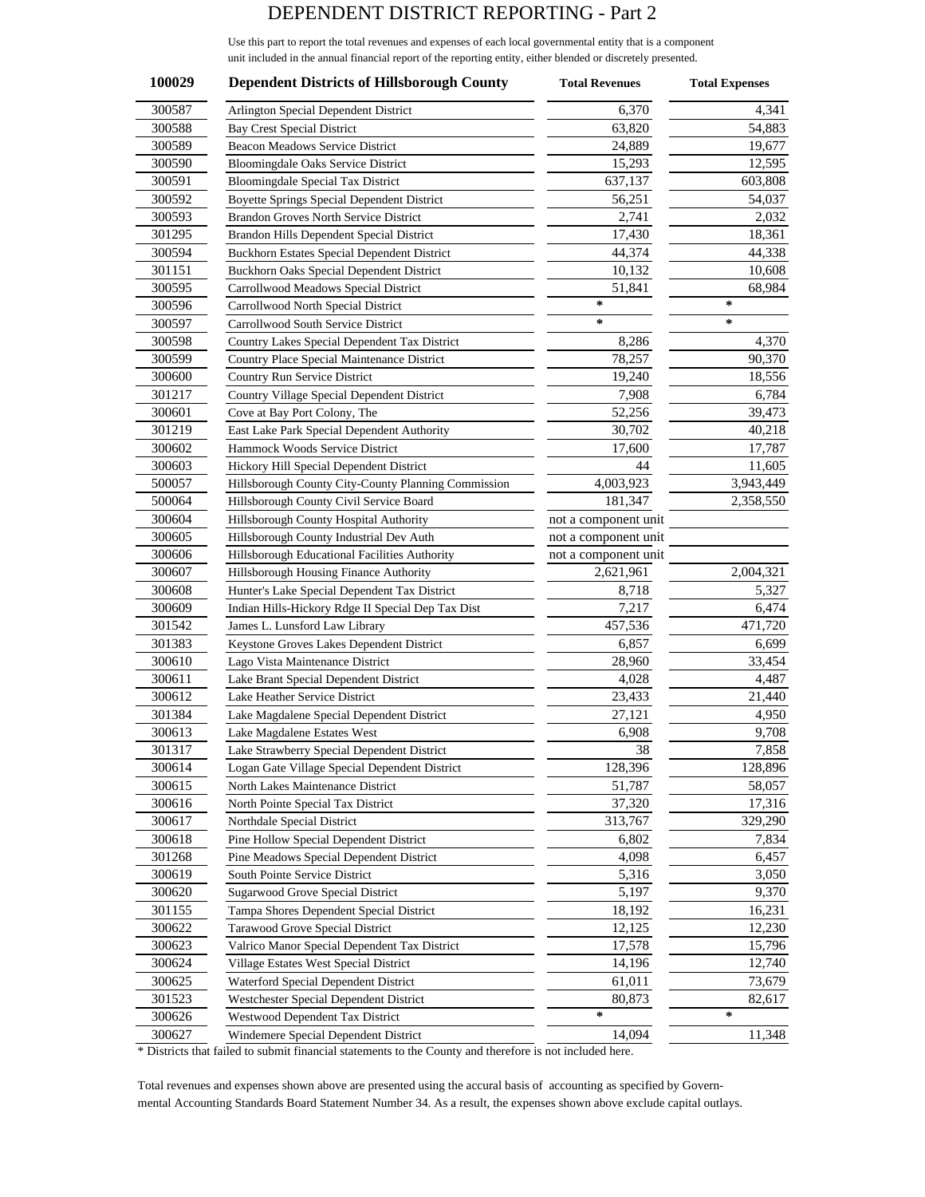## DEPENDENT DISTRICT REPORTING - Part 2

Use this part to report the total revenues and expenses of each local governmental entity that is a component unit included in the annual financial report of the reporting entity, either blended or discretely presented.

| 100029           | <b>Dependent Districts of Hillsborough County</b>                                        | <b>Total Revenues</b>             | <b>Total Expenses</b> |
|------------------|------------------------------------------------------------------------------------------|-----------------------------------|-----------------------|
| 300587           | Arlington Special Dependent District                                                     | 6,370                             | 4,341                 |
| 300588           | <b>Bay Crest Special District</b>                                                        | 63,820                            | 54,883                |
| 300589           | Beacon Meadows Service District                                                          | 24,889                            | 19,677                |
| 300590           | <b>Bloomingdale Oaks Service District</b>                                                | 15,293                            | 12,595                |
| 300591           | Bloomingdale Special Tax District                                                        | 637,137                           | 603,808               |
| 300592           | Boyette Springs Special Dependent District                                               | 56,251                            | 54,037                |
| 300593           | Brandon Groves North Service District                                                    | 2,741                             | 2,032                 |
| 301295           | Brandon Hills Dependent Special District                                                 | 17,430                            | 18,361                |
| 300594           | Buckhorn Estates Special Dependent District                                              | 44,374                            | 44,338                |
| 301151           | <b>Buckhorn Oaks Special Dependent District</b>                                          | 10,132                            | 10,608                |
| 300595           | Carrollwood Meadows Special District                                                     | 51,841                            | 68,984                |
| 300596           | Carrollwood North Special District                                                       | ∗                                 | ∗                     |
| 300597           | Carrollwood South Service District                                                       | $\ast$                            | ∗                     |
| 300598           | Country Lakes Special Dependent Tax District                                             | 8,286                             | 4,370                 |
| 300599           | Country Place Special Maintenance District                                               | 78,257                            | 90,370                |
| 300600           | Country Run Service District                                                             | 19,240                            | 18,556                |
| 301217           | Country Village Special Dependent District                                               | 7,908                             | 6,784                 |
| 300601           | Cove at Bay Port Colony, The                                                             | 52,256                            | 39,473                |
| 301219           | East Lake Park Special Dependent Authority                                               | 30,702                            | 40,218                |
| 300602           | Hammock Woods Service District                                                           | 17,600                            | 17,787                |
| 300603           | Hickory Hill Special Dependent District                                                  | 44                                |                       |
| 500057           |                                                                                          | 4,003,923                         | 11,605<br>3,943,449   |
| 500064           | Hillsborough County City-County Planning Commission                                      | 181,347                           | 2,358,550             |
| 300604           | Hillsborough County Civil Service Board                                                  |                                   |                       |
| 300605           | Hillsborough County Hospital Authority                                                   | not a component unit              |                       |
| 300606           | Hillsborough County Industrial Dev Auth<br>Hillsborough Educational Facilities Authority | not a component unit              |                       |
| 300607           |                                                                                          | not a component unit<br>2,621,961 |                       |
| 300608           | Hillsborough Housing Finance Authority                                                   |                                   | 2,004,321             |
|                  | Hunter's Lake Special Dependent Tax District                                             | 8,718                             | 5,327                 |
| 300609           | Indian Hills-Hickory Rdge II Special Dep Tax Dist                                        | 7,217                             | 6,474                 |
| 301542           | James L. Lunsford Law Library                                                            | 457,536                           | 471,720               |
| 301383           | Keystone Groves Lakes Dependent District                                                 | 6,857<br>28,960                   | 6,699                 |
| 300610           | Lago Vista Maintenance District                                                          |                                   | 33,454                |
| 300611<br>300612 | Lake Brant Special Dependent District<br>Lake Heather Service District                   | 4,028<br>23,433                   | 4,487<br>21,440       |
| 301384           |                                                                                          |                                   | 4,950                 |
| 300613           | Lake Magdalene Special Dependent District                                                | 27,121<br>6,908                   | 9,708                 |
|                  | Lake Magdalene Estates West                                                              | 38                                | 7,858                 |
| 301317<br>300614 | Lake Strawberry Special Dependent District                                               | 128,396                           |                       |
| 300615           | Logan Gate Village Special Dependent District                                            |                                   | 128,896<br>58,057     |
| 300616           | North Lakes Maintenance District<br>North Pointe Special Tax District                    | 51,787                            |                       |
| 300617           |                                                                                          | 37,320                            | 17,316                |
|                  | Northdale Special District                                                               | 313,767                           | 329,290               |
| 300618           | Pine Hollow Special Dependent District                                                   | 6,802                             | 7,834                 |
| 301268           | Pine Meadows Special Dependent District                                                  | 4,098                             | 6,457                 |
| 300619           | South Pointe Service District                                                            | 5,316                             | 3,050                 |
| 300620           | Sugarwood Grove Special District                                                         | 5,197                             | 9,370                 |
| 301155           | Tampa Shores Dependent Special District                                                  | 18,192                            | 16,231                |
| 300622           | Tarawood Grove Special District                                                          | 12,125                            | 12,230                |
| 300623           | Valrico Manor Special Dependent Tax District                                             | 17,578                            | 15,796                |
| 300624           | Village Estates West Special District                                                    | 14,196                            | 12,740                |
| 300625           | Waterford Special Dependent District                                                     | 61,011                            | 73,679                |
| 301523           | Westchester Special Dependent District                                                   | 80,873                            | 82,617                |
| 300626           | Westwood Dependent Tax District                                                          | ∗                                 | ∗                     |
| 300627           | Windemere Special Dependent District                                                     | 14,094                            | 11,348                |

\* Districts that failed to submit financial statements to the County and therefore is not included here.

Total revenues and expenses shown above are presented using the accural basis of accounting as specified by Governmental Accounting Standards Board Statement Number 34. As a result, the expenses shown above exclude capital outlays.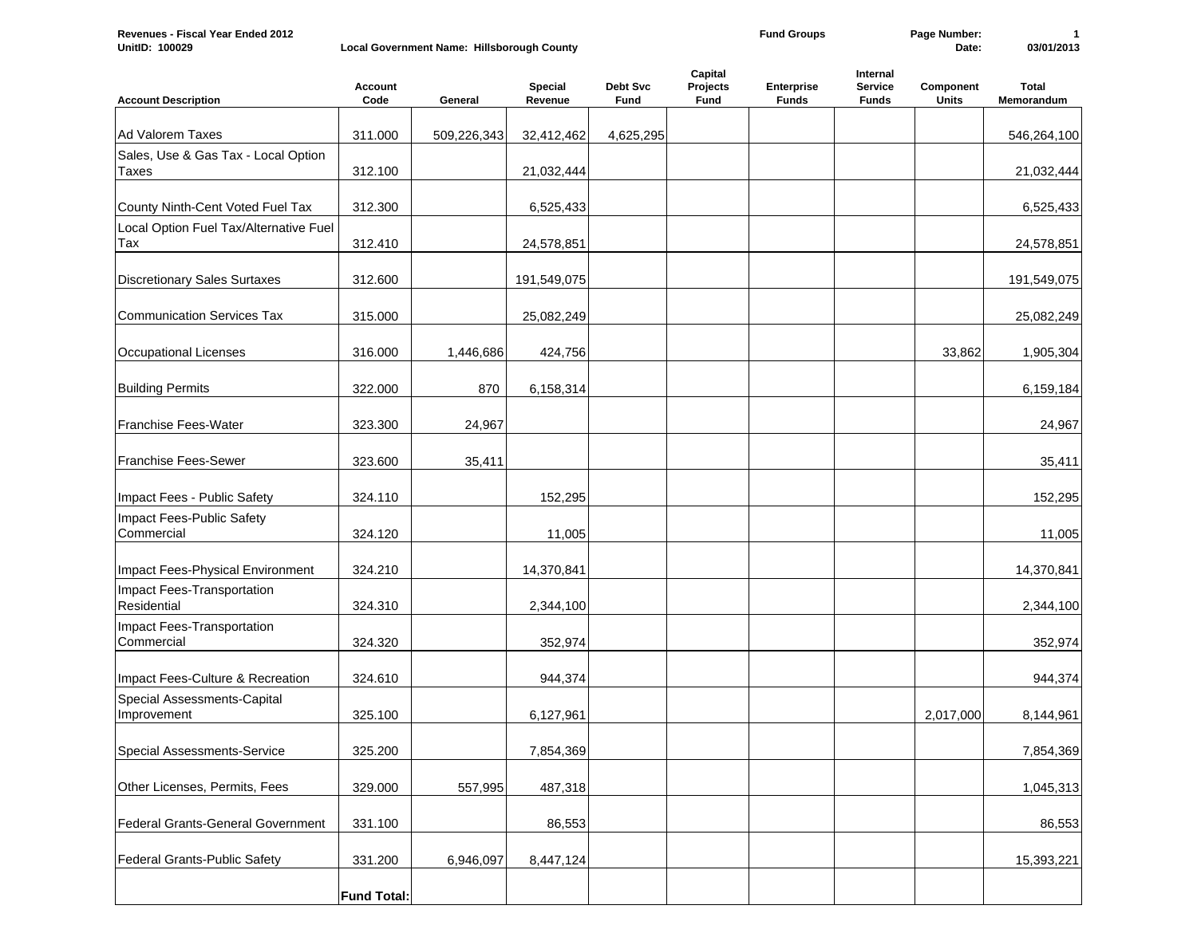| Revenues - Fiscal Year Ended 2012 |                                            | <b>Fund Groups</b> | Page Number: |            |
|-----------------------------------|--------------------------------------------|--------------------|--------------|------------|
| <b>UnitID: 100029</b>             | Local Government Name: Hillsborough County |                    | Date:        | 03/01/2013 |

| <b>Account Description</b>                 | <b>Account</b><br>$\mathsf{Code}$ | General     | Special<br>Revenue | <b>Debt Svc</b><br>Fund | Capital<br>Projects<br>Fund | Enterprise<br><b>Funds</b> | Internal<br>Service<br><b>Funds</b> | Component<br><b>Units</b> | <b>Total</b><br>Memorandum |
|--------------------------------------------|-----------------------------------|-------------|--------------------|-------------------------|-----------------------------|----------------------------|-------------------------------------|---------------------------|----------------------------|
|                                            |                                   |             |                    |                         |                             |                            |                                     |                           |                            |
| Ad Valorem Taxes                           | 311.000                           | 509,226,343 | 32,412,462         | 4,625,295               |                             |                            |                                     |                           | 546,264,100                |
| Sales, Use & Gas Tax - Local Option        |                                   |             |                    |                         |                             |                            |                                     |                           |                            |
| <b>Taxes</b>                               | 312.100                           |             | 21,032,444         |                         |                             |                            |                                     |                           | 21,032,444                 |
| County Ninth-Cent Voted Fuel Tax           | 312.300                           |             | 6,525,433          |                         |                             |                            |                                     |                           | 6,525,433                  |
| Local Option Fuel Tax/Alternative Fuel     |                                   |             |                    |                         |                             |                            |                                     |                           |                            |
| Tax                                        | 312.410                           |             | 24,578,851         |                         |                             |                            |                                     |                           | 24,578,851                 |
| <b>Discretionary Sales Surtaxes</b>        | 312.600                           |             | 191,549,075        |                         |                             |                            |                                     |                           | 191,549,075                |
| <b>Communication Services Tax</b>          | 315.000                           |             | 25,082,249         |                         |                             |                            |                                     |                           | 25,082,249                 |
| Occupational Licenses                      | 316.000                           | 1,446,686   | 424,756            |                         |                             |                            |                                     | 33,862                    | 1,905,304                  |
| <b>Building Permits</b>                    | 322.000                           | 870         | 6,158,314          |                         |                             |                            |                                     |                           | 6,159,184                  |
| <b>Franchise Fees-Water</b>                | 323.300                           | 24,967      |                    |                         |                             |                            |                                     |                           | 24,967                     |
| Franchise Fees-Sewer                       | 323.600                           | 35,411      |                    |                         |                             |                            |                                     |                           | 35,411                     |
| Impact Fees - Public Safety                | 324.110                           |             | 152,295            |                         |                             |                            |                                     |                           | 152,295                    |
| Impact Fees-Public Safety<br>Commercial    | 324.120                           |             | 11,005             |                         |                             |                            |                                     |                           | 11,005                     |
| Impact Fees-Physical Environment           | 324.210                           |             | 14,370,841         |                         |                             |                            |                                     |                           | 14,370,841                 |
| Impact Fees-Transportation<br>Residential  | 324.310                           |             | 2,344,100          |                         |                             |                            |                                     |                           | 2,344,100                  |
| Impact Fees-Transportation<br>Commercial   | 324.320                           |             | 352,974            |                         |                             |                            |                                     |                           | 352,974                    |
| Impact Fees-Culture & Recreation           | 324.610                           |             | 944,374            |                         |                             |                            |                                     |                           | 944,374                    |
| Special Assessments-Capital<br>Improvement | 325.100                           |             | 6,127,961          |                         |                             |                            |                                     | 2,017,000                 | 8,144,961                  |
| <b>Special Assessments-Service</b>         | 325.200                           |             | 7,854,369          |                         |                             |                            |                                     |                           | 7,854,369                  |
| Other Licenses, Permits, Fees              | 329.000                           | 557,995     | 487,318            |                         |                             |                            |                                     |                           | 1,045,313                  |
| Federal Grants-General Government          | 331.100                           |             | 86,553             |                         |                             |                            |                                     |                           | 86,553                     |
| Federal Grants-Public Safety               | 331.200                           | 6,946,097   | 8,447,124          |                         |                             |                            |                                     |                           | 15,393,221                 |
|                                            | <b>Fund Total:</b>                |             |                    |                         |                             |                            |                                     |                           |                            |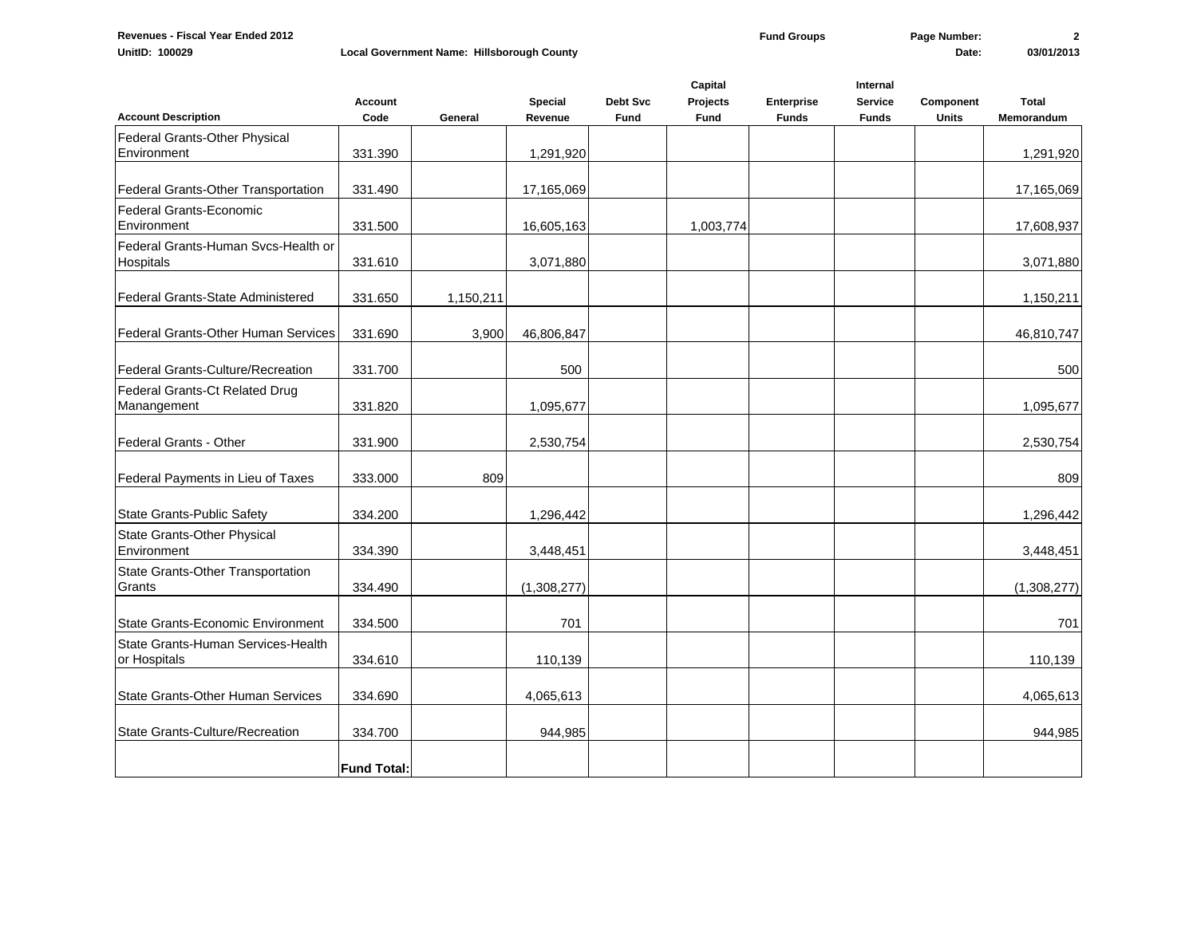|                                                    | <b>Account</b>     |           | <b>Special</b> | <b>Debt Svc</b> | Capital<br><b>Projects</b> | Enterprise   | Internal<br><b>Service</b> | Component    | Total       |
|----------------------------------------------------|--------------------|-----------|----------------|-----------------|----------------------------|--------------|----------------------------|--------------|-------------|
| <b>Account Description</b>                         | Code               | General   | Revenue        | <b>Fund</b>     | Fund                       | <b>Funds</b> | <b>Funds</b>               | <b>Units</b> | Memorandum  |
| Federal Grants-Other Physical<br>Environment       | 331.390            |           | 1,291,920      |                 |                            |              |                            |              | 1,291,920   |
| Federal Grants-Other Transportation                | 331.490            |           | 17,165,069     |                 |                            |              |                            |              | 17,165,069  |
| Federal Grants-Economic<br>Environment             | 331.500            |           | 16,605,163     |                 | 1,003,774                  |              |                            |              | 17,608,937  |
| Federal Grants-Human Svcs-Health or<br>Hospitals   | 331.610            |           | 3,071,880      |                 |                            |              |                            |              | 3,071,880   |
| Federal Grants-State Administered                  | 331.650            | 1,150,211 |                |                 |                            |              |                            |              | 1,150,211   |
| Federal Grants-Other Human Services                | 331.690            | 3,900     | 46,806,847     |                 |                            |              |                            |              | 46,810,747  |
| Federal Grants-Culture/Recreation                  | 331.700            |           | 500            |                 |                            |              |                            |              | 500         |
| Federal Grants-Ct Related Drug<br>Manangement      | 331.820            |           | 1,095,677      |                 |                            |              |                            |              | 1,095,677   |
| lFederal Grants - Other                            | 331.900            |           | 2,530,754      |                 |                            |              |                            |              | 2,530,754   |
| Federal Payments in Lieu of Taxes                  | 333.000            | 809       |                |                 |                            |              |                            |              | 809         |
| State Grants-Public Safety                         | 334.200            |           | 1,296,442      |                 |                            |              |                            |              | 1,296,442   |
| <b>State Grants-Other Physical</b><br>Environment  | 334.390            |           | 3,448,451      |                 |                            |              |                            |              | 3,448,451   |
| State Grants-Other Transportation<br>Grants        | 334.490            |           | (1,308,277)    |                 |                            |              |                            |              | (1,308,277) |
| State Grants-Economic Environment                  | 334.500            |           | 701            |                 |                            |              |                            |              | 701         |
| State Grants-Human Services-Health<br>or Hospitals | 334.610            |           | 110,139        |                 |                            |              |                            |              | 110,139     |
| <b>State Grants-Other Human Services</b>           | 334.690            |           | 4,065,613      |                 |                            |              |                            |              | 4,065,613   |
| State Grants-Culture/Recreation                    | 334.700            |           | 944,985        |                 |                            |              |                            |              | 944,985     |
|                                                    | <b>Fund Total:</b> |           |                |                 |                            |              |                            |              |             |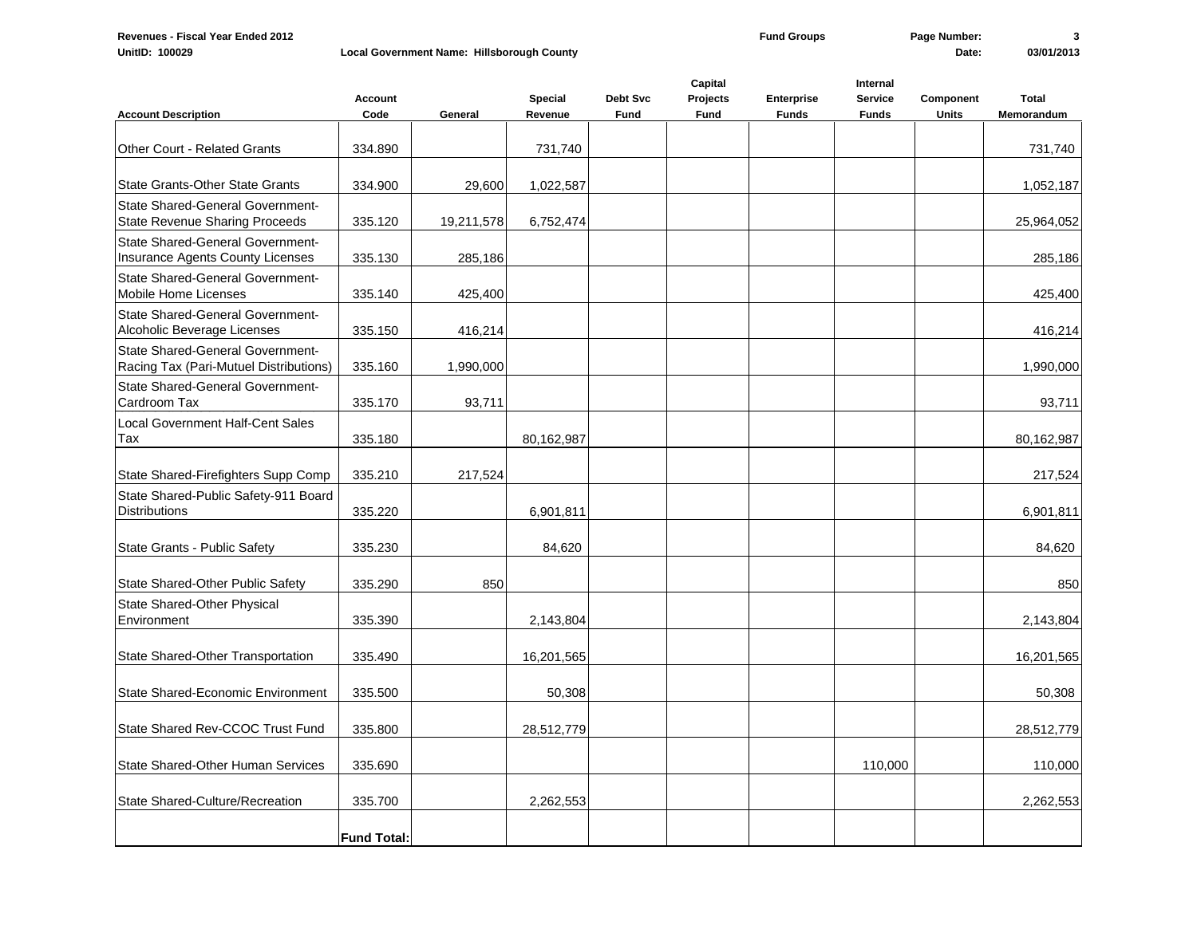|                                                                                  | <b>Account</b>     |            | Special    | Debt Svc    | Capital<br>Projects | Enterprise   | Internal<br><b>Service</b> | Component    | <b>Total</b> |
|----------------------------------------------------------------------------------|--------------------|------------|------------|-------------|---------------------|--------------|----------------------------|--------------|--------------|
| <b>Account Description</b>                                                       | Code               | General    | Revenue    | <b>Fund</b> | Fund                | <b>Funds</b> | <b>Funds</b>               | <b>Units</b> | Memorandum   |
| Other Court - Related Grants                                                     | 334.890            |            | 731,740    |             |                     |              |                            |              | 731,740      |
| State Grants-Other State Grants                                                  | 334.900            | 29,600     | 1,022,587  |             |                     |              |                            |              | 1,052,187    |
| <b>State Shared-General Government-</b><br><b>State Revenue Sharing Proceeds</b> | 335.120            | 19,211,578 | 6,752,474  |             |                     |              |                            |              | 25,964,052   |
| <b>State Shared-General Government-</b><br>Insurance Agents County Licenses      | 335.130            | 285,186    |            |             |                     |              |                            |              | 285,186      |
| <b>State Shared-General Government-</b><br><b>Mobile Home Licenses</b>           | 335.140            | 425,400    |            |             |                     |              |                            |              | 425,400      |
| State Shared-General Government-<br>Alcoholic Beverage Licenses                  | 335.150            | 416,214    |            |             |                     |              |                            |              | 416,214      |
| State Shared-General Government-<br>Racing Tax (Pari-Mutuel Distributions)       | 335.160            | 1,990,000  |            |             |                     |              |                            |              | 1,990,000    |
| <b>State Shared-General Government-</b><br>Cardroom Tax                          | 335.170            | 93,711     |            |             |                     |              |                            |              | 93,711       |
| <b>Local Government Half-Cent Sales</b><br>Tax                                   | 335.180            |            | 80,162,987 |             |                     |              |                            |              | 80,162,987   |
| State Shared-Firefighters Supp Comp                                              | 335.210            | 217,524    |            |             |                     |              |                            |              | 217,524      |
| State Shared-Public Safety-911 Board<br><b>Distributions</b>                     | 335.220            |            | 6,901,811  |             |                     |              |                            |              | 6,901,811    |
| State Grants - Public Safety                                                     | 335.230            |            | 84,620     |             |                     |              |                            |              | 84,620       |
| State Shared-Other Public Safety                                                 | 335.290            | 850        |            |             |                     |              |                            |              | 850          |
| <b>State Shared-Other Physical</b><br>Environment                                | 335.390            |            | 2,143,804  |             |                     |              |                            |              | 2,143,804    |
| State Shared-Other Transportation                                                | 335.490            |            | 16,201,565 |             |                     |              |                            |              | 16,201,565   |
| <b>State Shared-Economic Environment</b>                                         | 335.500            |            | 50,308     |             |                     |              |                            |              | 50,308       |
| State Shared Rev-CCOC Trust Fund                                                 | 335.800            |            | 28,512,779 |             |                     |              |                            |              | 28,512,779   |
| <b>State Shared-Other Human Services</b>                                         | 335.690            |            |            |             |                     |              | 110,000                    |              | 110,000      |
| State Shared-Culture/Recreation                                                  | 335.700            |            | 2,262,553  |             |                     |              |                            |              | 2,262,553    |
|                                                                                  | <b>Fund Total:</b> |            |            |             |                     |              |                            |              |              |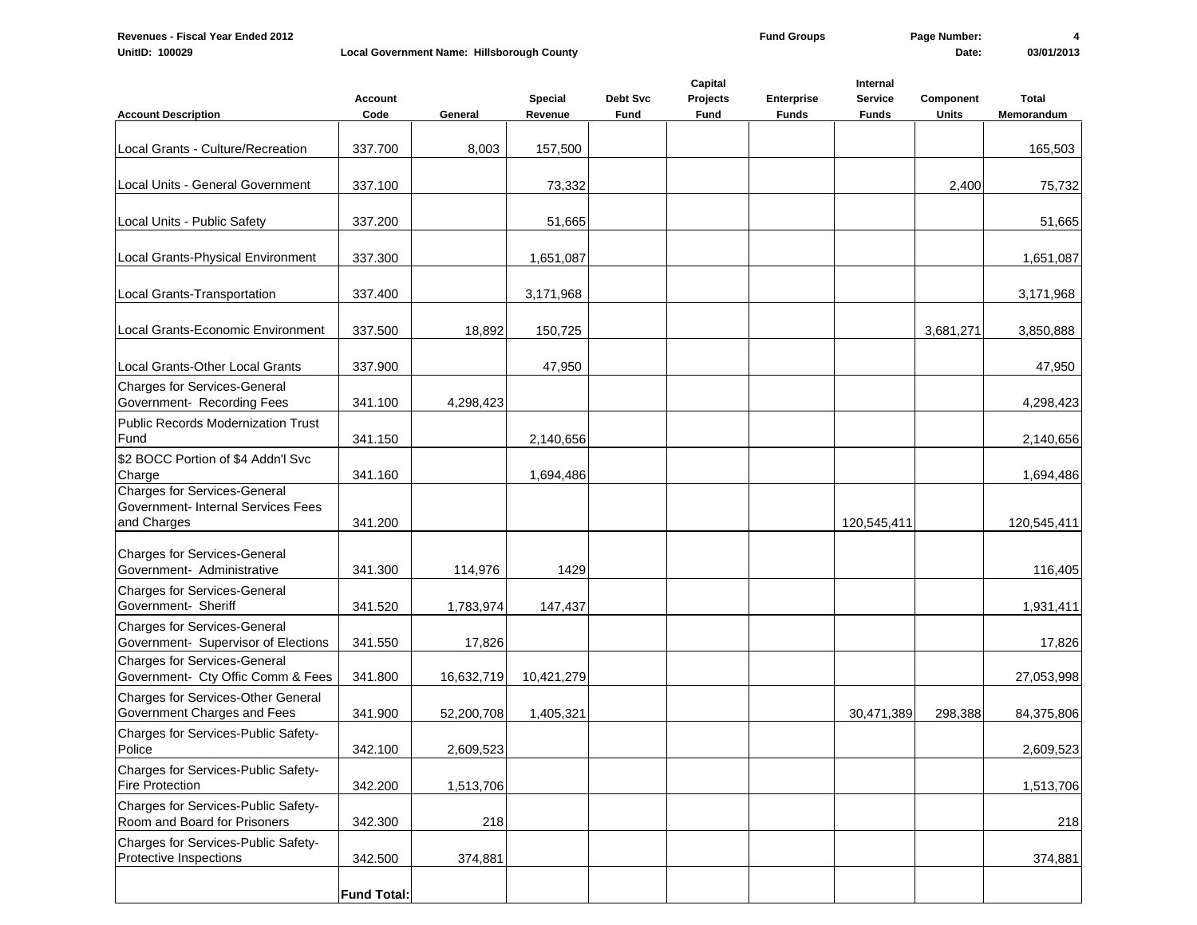| <b>Account Description</b>                                                               | <b>Account</b><br>Code | General    | Special<br>Revenue | Debt Svc<br>Fund | Capital<br>Projects<br>Fund | Enterprise<br><b>Funds</b> | Internal<br><b>Service</b><br><b>Funds</b> | Component<br><b>Units</b> | <b>Total</b><br>Memorandum |
|------------------------------------------------------------------------------------------|------------------------|------------|--------------------|------------------|-----------------------------|----------------------------|--------------------------------------------|---------------------------|----------------------------|
|                                                                                          |                        |            |                    |                  |                             |                            |                                            |                           |                            |
| Local Grants - Culture/Recreation                                                        | 337.700                | 8,003      | 157,500            |                  |                             |                            |                                            |                           | 165,503                    |
| Local Units - General Government                                                         | 337.100                |            | 73,332             |                  |                             |                            |                                            | 2,400                     | 75,732                     |
| Local Units - Public Safety                                                              | 337.200                |            | 51,665             |                  |                             |                            |                                            |                           | 51,665                     |
| Local Grants-Physical Environment                                                        | 337.300                |            | 1,651,087          |                  |                             |                            |                                            |                           | 1,651,087                  |
| Local Grants-Transportation                                                              | 337.400                |            | 3,171,968          |                  |                             |                            |                                            |                           | 3,171,968                  |
| Local Grants-Economic Environment                                                        | 337.500                | 18,892     | 150,725            |                  |                             |                            |                                            | 3,681,271                 | 3,850,888                  |
| Local Grants-Other Local Grants                                                          | 337.900                |            | 47,950             |                  |                             |                            |                                            |                           | 47,950                     |
| Charges for Services-General<br>Government- Recording Fees                               | 341.100                | 4,298,423  |                    |                  |                             |                            |                                            |                           | 4,298,423                  |
| Public Records Modernization Trust<br>Fund                                               | 341.150                |            | 2,140,656          |                  |                             |                            |                                            |                           | 2,140,656                  |
| \$2 BOCC Portion of \$4 Addn'l Svc<br>Charge                                             | 341.160                |            | 1,694,486          |                  |                             |                            |                                            |                           | 1,694,486                  |
| <b>Charges for Services-General</b><br>Government- Internal Services Fees<br>and Charges | 341.200                |            |                    |                  |                             |                            | 120,545,411                                |                           | 120,545,411                |
| <b>Charges for Services-General</b><br>Government- Administrative                        | 341.300                | 114,976    | 1429               |                  |                             |                            |                                            |                           | 116,405                    |
| <b>Charges for Services-General</b><br>Government- Sheriff                               | 341.520                | 1,783,974  | 147,437            |                  |                             |                            |                                            |                           | 1,931,411                  |
| <b>Charges for Services-General</b><br>Government- Supervisor of Elections               | 341.550                | 17,826     |                    |                  |                             |                            |                                            |                           | 17,826                     |
| <b>Charges for Services-General</b><br>Government- Cty Offic Comm & Fees                 | 341.800                | 16,632,719 | 10,421,279         |                  |                             |                            |                                            |                           | 27,053,998                 |
| <b>Charges for Services-Other General</b><br>Government Charges and Fees                 | 341.900                | 52,200,708 | 1,405,321          |                  |                             |                            | 30,471,389                                 | 298,388                   | 84,375,806                 |
| Charges for Services-Public Safety-<br>Police                                            | 342.100                | 2,609,523  |                    |                  |                             |                            |                                            |                           | 2,609,523                  |
| Charges for Services-Public Safety-<br>Fire Protection                                   | 342.200                | 1,513,706  |                    |                  |                             |                            |                                            |                           | 1,513,706                  |
| Charges for Services-Public Safety-<br>Room and Board for Prisoners                      | 342.300                | 218        |                    |                  |                             |                            |                                            |                           | 218                        |
| Charges for Services-Public Safety-<br>Protective Inspections                            | 342.500                | 374,881    |                    |                  |                             |                            |                                            |                           | 374,881                    |
|                                                                                          | <b>Fund Total:</b>     |            |                    |                  |                             |                            |                                            |                           |                            |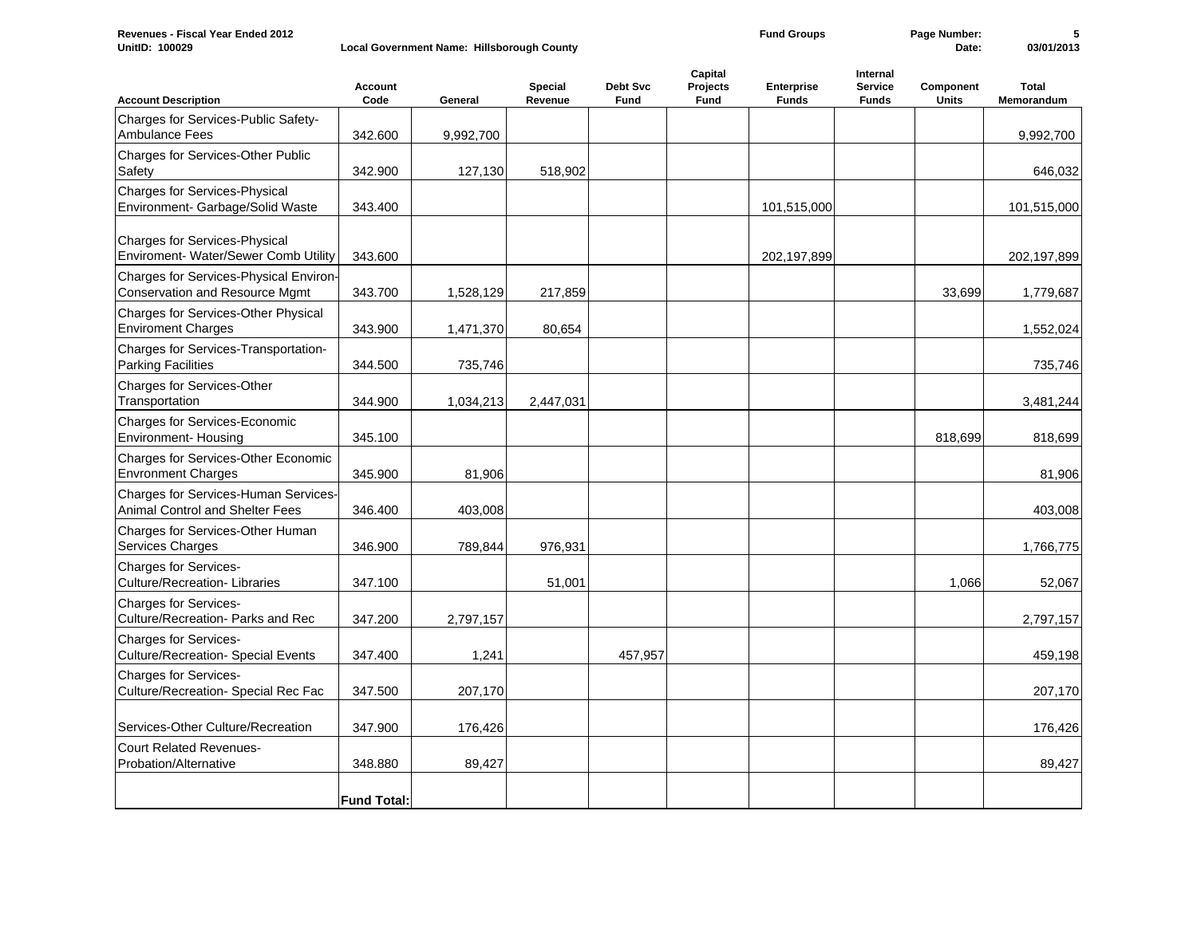| Revenues - Fiscal Year Ended 2012<br>UnitID: 100029                            |                    | Local Government Name: Hillsborough County |                           |                         |                             | <b>Fund Groups</b>                |                                            | Page Number:<br>Date:     | 5<br>03/01/2013            |
|--------------------------------------------------------------------------------|--------------------|--------------------------------------------|---------------------------|-------------------------|-----------------------------|-----------------------------------|--------------------------------------------|---------------------------|----------------------------|
| <b>Account Description</b>                                                     | Account<br>Code    | General                                    | <b>Special</b><br>Revenue | Debt Svc<br><b>Fund</b> | Capital<br>Projects<br>Fund | <b>Enterprise</b><br><b>Funds</b> | Internal<br><b>Service</b><br><b>Funds</b> | Component<br><b>Units</b> | <b>Total</b><br>Memorandum |
| Charges for Services-Public Safety-<br><b>Ambulance Fees</b>                   | 342.600            | 9,992,700                                  |                           |                         |                             |                                   |                                            |                           | 9,992,700                  |
| Charges for Services-Other Public<br>Safety                                    | 342.900            | 127,130                                    | 518,902                   |                         |                             |                                   |                                            |                           | 646,032                    |
| Charges for Services-Physical<br>Environment- Garbage/Solid Waste              | 343.400            |                                            |                           |                         |                             | 101,515,000                       |                                            |                           | 101,515,000                |
| <b>Charges for Services-Physical</b><br>Enviroment- Water/Sewer Comb Utility   | 343.600            |                                            |                           |                         |                             | 202,197,899                       |                                            |                           | 202,197,899                |
| Charges for Services-Physical Environ-<br>Conservation and Resource Mgmt       | 343.700            | 1,528,129                                  | 217,859                   |                         |                             |                                   |                                            | 33,699                    | 1,779,687                  |
| Charges for Services-Other Physical<br><b>Enviroment Charges</b>               | 343.900            | 1,471,370                                  | 80,654                    |                         |                             |                                   |                                            |                           | 1,552,024                  |
| Charges for Services-Transportation-<br><b>Parking Facilities</b>              | 344.500            | 735,746                                    |                           |                         |                             |                                   |                                            |                           | 735,746                    |
| <b>Charges for Services-Other</b><br>Transportation                            | 344.900            | 1,034,213                                  | 2,447,031                 |                         |                             |                                   |                                            |                           | 3,481,244                  |
| Charges for Services-Economic<br><b>Environment- Housing</b>                   | 345.100            |                                            |                           |                         |                             |                                   |                                            | 818,699                   | 818,699                    |
| <b>Charges for Services-Other Economic</b><br><b>Envronment Charges</b>        | 345.900            | 81,906                                     |                           |                         |                             |                                   |                                            |                           | 81,906                     |
| Charges for Services-Human Services-<br><b>Animal Control and Shelter Fees</b> | 346.400            | 403,008                                    |                           |                         |                             |                                   |                                            |                           | 403,008                    |
| Charges for Services-Other Human<br>Services Charges                           | 346.900            | 789,844                                    | 976,931                   |                         |                             |                                   |                                            |                           | 1,766,775                  |
| <b>Charges for Services-</b><br><b>Culture/Recreation-Libraries</b>            | 347.100            |                                            | 51,001                    |                         |                             |                                   |                                            | 1,066                     | 52,067                     |
| <b>Charges for Services-</b><br>Culture/Recreation- Parks and Rec              | 347.200            | 2,797,157                                  |                           |                         |                             |                                   |                                            |                           | 2,797,157                  |
| <b>Charges for Services-</b><br><b>Culture/Recreation- Special Events</b>      | 347.400            | 1,241                                      |                           | 457,957                 |                             |                                   |                                            |                           | 459,198                    |
| <b>Charges for Services-</b><br>Culture/Recreation- Special Rec Fac            | 347.500            | 207,170                                    |                           |                         |                             |                                   |                                            |                           | 207,170                    |
| Services-Other Culture/Recreation                                              | 347.900            | 176,426                                    |                           |                         |                             |                                   |                                            |                           | 176,426                    |
| <b>Court Related Revenues-</b><br>Probation/Alternative                        | 348.880            | 89,427                                     |                           |                         |                             |                                   |                                            |                           | 89,427                     |
|                                                                                | <b>Fund Total:</b> |                                            |                           |                         |                             |                                   |                                            |                           |                            |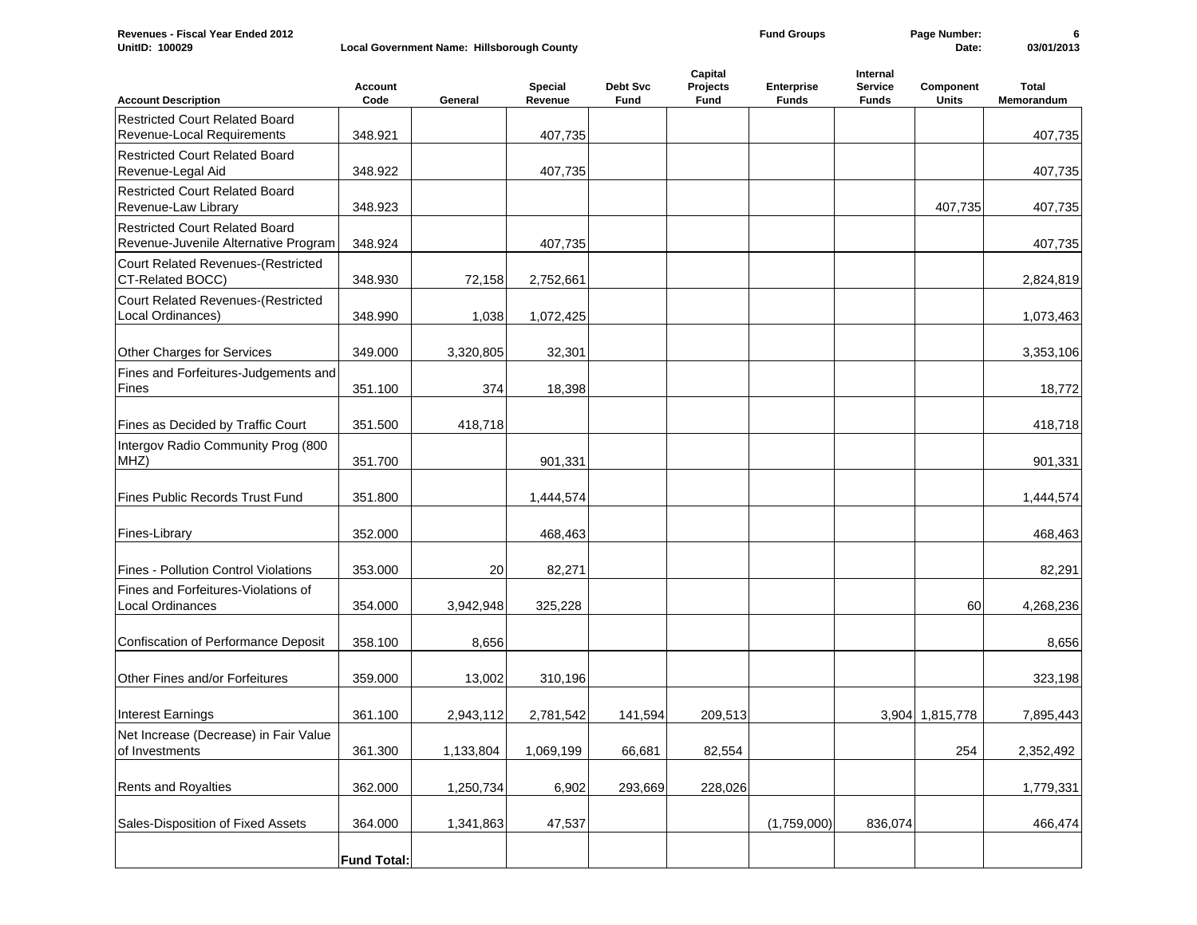| UnitID: 100029                                                                |                    | Local Government Name: Hillsborough County |                           |                         |                             |                            |                                            | Date:              | 03/01/2013                 |
|-------------------------------------------------------------------------------|--------------------|--------------------------------------------|---------------------------|-------------------------|-----------------------------|----------------------------|--------------------------------------------|--------------------|----------------------------|
| <b>Account Description</b>                                                    | Account<br>Code    | General                                    | <b>Special</b><br>Revenue | Debt Svc<br><b>Fund</b> | Capital<br>Projects<br>Fund | Enterprise<br><b>Funds</b> | Internal<br><b>Service</b><br><b>Funds</b> | Component<br>Units | <b>Total</b><br>Memorandum |
| <b>Restricted Court Related Board</b>                                         |                    |                                            |                           |                         |                             |                            |                                            |                    |                            |
| Revenue-Local Requirements                                                    | 348.921            |                                            | 407,735                   |                         |                             |                            |                                            |                    | 407,735                    |
| <b>Restricted Court Related Board</b><br>Revenue-Legal Aid                    | 348.922            |                                            | 407,735                   |                         |                             |                            |                                            |                    | 407,735                    |
| <b>Restricted Court Related Board</b><br>Revenue-Law Library                  | 348.923            |                                            |                           |                         |                             |                            |                                            | 407,735            | 407,735                    |
| <b>Restricted Court Related Board</b><br>Revenue-Juvenile Alternative Program | 348.924            |                                            | 407,735                   |                         |                             |                            |                                            |                    | 407,735                    |
| Court Related Revenues-(Restricted<br>CT-Related BOCC)                        | 348.930            | 72,158                                     | 2,752,661                 |                         |                             |                            |                                            |                    | 2,824,819                  |
| Court Related Revenues-(Restricted<br>Local Ordinances)                       | 348.990            | 1,038                                      | 1,072,425                 |                         |                             |                            |                                            |                    | 1,073,463                  |
| Other Charges for Services                                                    | 349.000            | 3,320,805                                  | 32,301                    |                         |                             |                            |                                            |                    | 3,353,106                  |
| Fines and Forfeitures-Judgements and<br>Fines                                 | 351.100            | 374                                        | 18,398                    |                         |                             |                            |                                            |                    | 18,772                     |
| Fines as Decided by Traffic Court                                             | 351.500            | 418,718                                    |                           |                         |                             |                            |                                            |                    | 418,718                    |
| Intergov Radio Community Prog (800<br>MHZ)                                    | 351.700            |                                            | 901,331                   |                         |                             |                            |                                            |                    | 901,331                    |
| Fines Public Records Trust Fund                                               | 351.800            |                                            | 1,444,574                 |                         |                             |                            |                                            |                    | 1,444,574                  |
| Fines-Library                                                                 | 352.000            |                                            | 468,463                   |                         |                             |                            |                                            |                    | 468,463                    |
| Fines - Pollution Control Violations                                          | 353.000            | 20                                         | 82,271                    |                         |                             |                            |                                            |                    | 82,291                     |
| Fines and Forfeitures-Violations of<br>Local Ordinances                       | 354.000            | 3,942,948                                  | 325,228                   |                         |                             |                            |                                            | 60                 | 4,268,236                  |
| Confiscation of Performance Deposit                                           | 358.100            | 8,656                                      |                           |                         |                             |                            |                                            |                    | 8,656                      |
| Other Fines and/or Forfeitures                                                | 359.000            | 13,002                                     | 310,196                   |                         |                             |                            |                                            |                    | 323,198                    |
| <b>Interest Earnings</b>                                                      | 361.100            | 2,943,112                                  | 2,781,542                 | 141,594                 | 209,513                     |                            |                                            | 3,904 1,815,778    | 7,895,443                  |
| Net Increase (Decrease) in Fair Value<br>of Investments                       | 361.300            | 1,133,804                                  | 1,069,199                 | 66,681                  | 82,554                      |                            |                                            | 254                | 2,352,492                  |
| Rents and Royalties                                                           | 362.000            | 1,250,734                                  | 6,902                     | 293,669                 | 228,026                     |                            |                                            |                    | 1,779,331                  |
| Sales-Disposition of Fixed Assets                                             | 364.000            | 1,341,863                                  | 47,537                    |                         |                             | (1,759,000)                | 836,074                                    |                    | 466,474                    |
|                                                                               | <b>Fund Total:</b> |                                            |                           |                         |                             |                            |                                            |                    |                            |

**Fund Groups Page Number: 6**

**Revenues - Fiscal Year Ended 2012**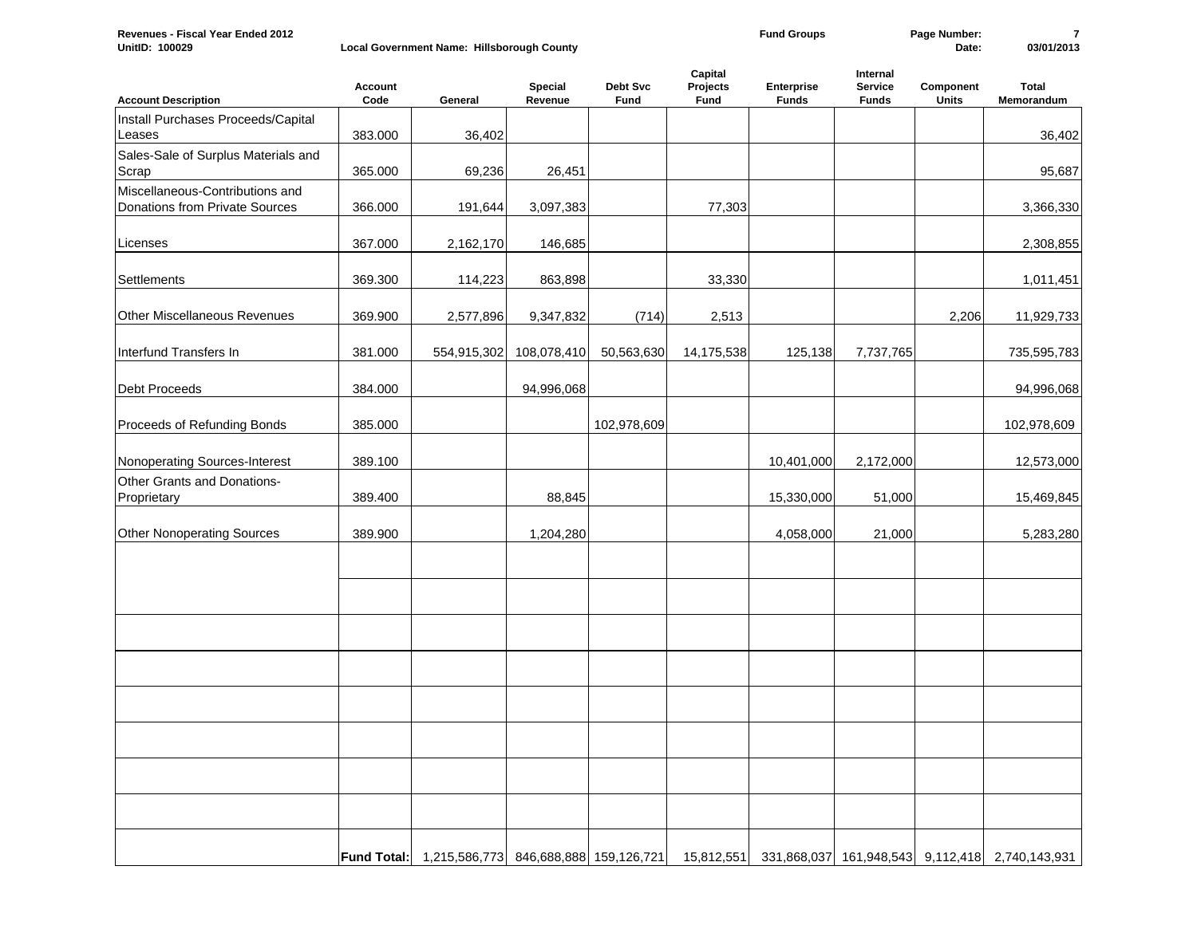| Revenues -<br>- Fiscal Year Ended 2012 |                                            | <b>Groups</b> | Number |            |
|----------------------------------------|--------------------------------------------|---------------|--------|------------|
| UnitID:<br>100029                      | Local Government Name: Hillsborough County |               | Date:  | 03/01/2013 |

| <b>Account Description</b>                                        | Account<br>Code | General                                           | Special<br>Revenue | Debt Svc<br>Fund | Capital<br>Projects<br>Fund | Enterprise<br><b>Funds</b> | Internal<br>Service<br><b>Funds</b> | Component<br><b>Units</b> | <b>Total</b><br>Memorandum                                 |
|-------------------------------------------------------------------|-----------------|---------------------------------------------------|--------------------|------------------|-----------------------------|----------------------------|-------------------------------------|---------------------------|------------------------------------------------------------|
| Install Purchases Proceeds/Capital<br>Leases                      | 383.000         | 36,402                                            |                    |                  |                             |                            |                                     |                           | 36,402                                                     |
| Sales-Sale of Surplus Materials and<br>Scrap                      | 365.000         | 69,236                                            | 26,451             |                  |                             |                            |                                     |                           | 95,687                                                     |
| Miscellaneous-Contributions and<br>Donations from Private Sources | 366.000         | 191,644                                           | 3,097,383          |                  | 77,303                      |                            |                                     |                           | 3,366,330                                                  |
| Licenses                                                          | 367.000         | 2,162,170                                         | 146,685            |                  |                             |                            |                                     |                           | 2,308,855                                                  |
| Settlements                                                       | 369.300         | 114,223                                           | 863,898            |                  | 33,330                      |                            |                                     |                           | 1,011,451                                                  |
| Other Miscellaneous Revenues                                      | 369.900         | 2,577,896                                         | 9,347,832          | (714)            | 2,513                       |                            |                                     | 2,206                     | 11,929,733                                                 |
| Interfund Transfers In                                            | 381.000         | 554,915,302                                       | 108,078,410        | 50,563,630       | 14,175,538                  | 125,138                    | 7,737,765                           |                           | 735,595,783                                                |
| Debt Proceeds                                                     | 384.000         |                                                   | 94,996,068         |                  |                             |                            |                                     |                           | 94,996,068                                                 |
| Proceeds of Refunding Bonds                                       | 385.000         |                                                   |                    | 102,978,609      |                             |                            |                                     |                           | 102,978,609                                                |
| Nonoperating Sources-Interest                                     | 389.100         |                                                   |                    |                  |                             | 10,401,000                 | 2,172,000                           |                           | 12,573,000                                                 |
| Other Grants and Donations-<br>Proprietary                        | 389.400         |                                                   | 88,845             |                  |                             | 15,330,000                 | 51,000                              |                           | 15,469,845                                                 |
| <b>Other Nonoperating Sources</b>                                 | 389.900         |                                                   | 1,204,280          |                  |                             | 4,058,000                  | 21,000                              |                           | 5,283,280                                                  |
|                                                                   |                 |                                                   |                    |                  |                             |                            |                                     |                           |                                                            |
|                                                                   |                 |                                                   |                    |                  |                             |                            |                                     |                           |                                                            |
|                                                                   |                 |                                                   |                    |                  |                             |                            |                                     |                           |                                                            |
|                                                                   |                 |                                                   |                    |                  |                             |                            |                                     |                           |                                                            |
|                                                                   |                 |                                                   |                    |                  |                             |                            |                                     |                           |                                                            |
|                                                                   |                 |                                                   |                    |                  |                             |                            |                                     |                           |                                                            |
|                                                                   |                 |                                                   |                    |                  |                             |                            |                                     |                           |                                                            |
|                                                                   |                 |                                                   |                    |                  |                             |                            |                                     |                           |                                                            |
|                                                                   |                 | Fund Total: 1,215,586,773 846,688,888 159,126,721 |                    |                  |                             |                            |                                     |                           | 15,812,551 331,868,037 161,948,543 9,112,418 2,740,143,931 |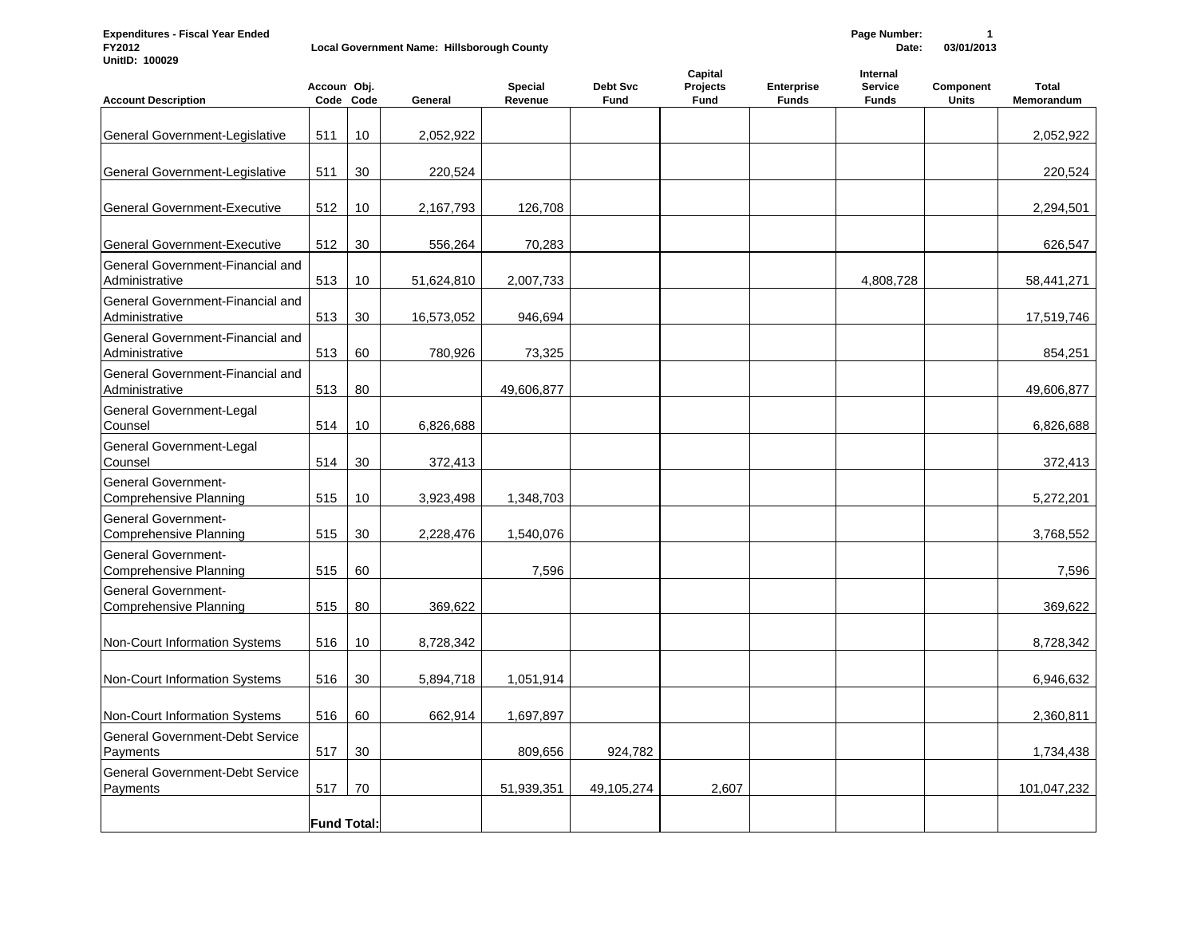**Expenditures - Fiscal Year Ended Page Number: 1 Local Government Name: Hillsborough County UnitID: 100029**

| <b>Account Description</b>                                  | Accoun Obj.        | Code Code | General    | <b>Special</b><br>Revenue | Debt Svc<br><b>Fund</b> | Capital<br>Projects<br>Fund | Enterprise<br><b>Funds</b> | Internal<br><b>Service</b><br><b>Funds</b> | Component<br><b>Units</b> | <b>Total</b><br>Memorandum |
|-------------------------------------------------------------|--------------------|-----------|------------|---------------------------|-------------------------|-----------------------------|----------------------------|--------------------------------------------|---------------------------|----------------------------|
| General Government-Legislative                              | 511                | 10        | 2,052,922  |                           |                         |                             |                            |                                            |                           | 2,052,922                  |
| General Government-Legislative                              | 511                | 30        | 220,524    |                           |                         |                             |                            |                                            |                           | 220,524                    |
| <b>General Government-Executive</b>                         | 512                | 10        | 2,167,793  | 126,708                   |                         |                             |                            |                                            |                           | 2,294,501                  |
| <b>General Government-Executive</b>                         | 512                | 30        | 556,264    | 70,283                    |                         |                             |                            |                                            |                           | 626,547                    |
| General Government-Financial and<br>Administrative          | 513                | 10        | 51,624,810 | 2,007,733                 |                         |                             |                            | 4,808,728                                  |                           | 58,441,271                 |
| General Government-Financial and<br>Administrative          | 513                | 30        | 16,573,052 | 946,694                   |                         |                             |                            |                                            |                           | 17,519,746                 |
| General Government-Financial and<br>Administrative          | 513                | 60        | 780,926    | 73,325                    |                         |                             |                            |                                            |                           | 854,251                    |
| General Government-Financial and<br>Administrative          | 513                | 80        |            | 49,606,877                |                         |                             |                            |                                            |                           | 49,606,877                 |
| General Government-Legal<br>Counsel                         | 514                | 10        | 6,826,688  |                           |                         |                             |                            |                                            |                           | 6,826,688                  |
| General Government-Legal<br>Counsel                         | 514                | 30        | 372,413    |                           |                         |                             |                            |                                            |                           | 372,413                    |
| <b>General Government-</b><br><b>Comprehensive Planning</b> | 515                | 10        | 3,923,498  | 1,348,703                 |                         |                             |                            |                                            |                           | 5,272,201                  |
| <b>General Government-</b><br><b>Comprehensive Planning</b> | 515                | 30        | 2,228,476  | 1,540,076                 |                         |                             |                            |                                            |                           | 3,768,552                  |
| <b>General Government-</b><br><b>Comprehensive Planning</b> | 515                | 60        |            | 7,596                     |                         |                             |                            |                                            |                           | 7,596                      |
| <b>General Government-</b><br>Comprehensive Planning        | 515                | 80        | 369,622    |                           |                         |                             |                            |                                            |                           | 369,622                    |
| Non-Court Information Systems                               | 516                | 10        | 8,728,342  |                           |                         |                             |                            |                                            |                           | 8,728,342                  |
| Non-Court Information Systems                               | 516                | 30        | 5,894,718  | 1,051,914                 |                         |                             |                            |                                            |                           | 6,946,632                  |
| Non-Court Information Systems                               | 516                | 60        | 662,914    | 1,697,897                 |                         |                             |                            |                                            |                           | 2,360,811                  |
| <b>General Government-Debt Service</b><br>Payments          | 517                | 30        |            | 809,656                   | 924,782                 |                             |                            |                                            |                           | 1,734,438                  |
| <b>General Government-Debt Service</b><br>Payments          | 517                | 70        |            | 51,939,351                | 49,105,274              | 2,607                       |                            |                                            |                           | 101,047,232                |
|                                                             | <b>Fund Total:</b> |           |            |                           |                         |                             |                            |                                            |                           |                            |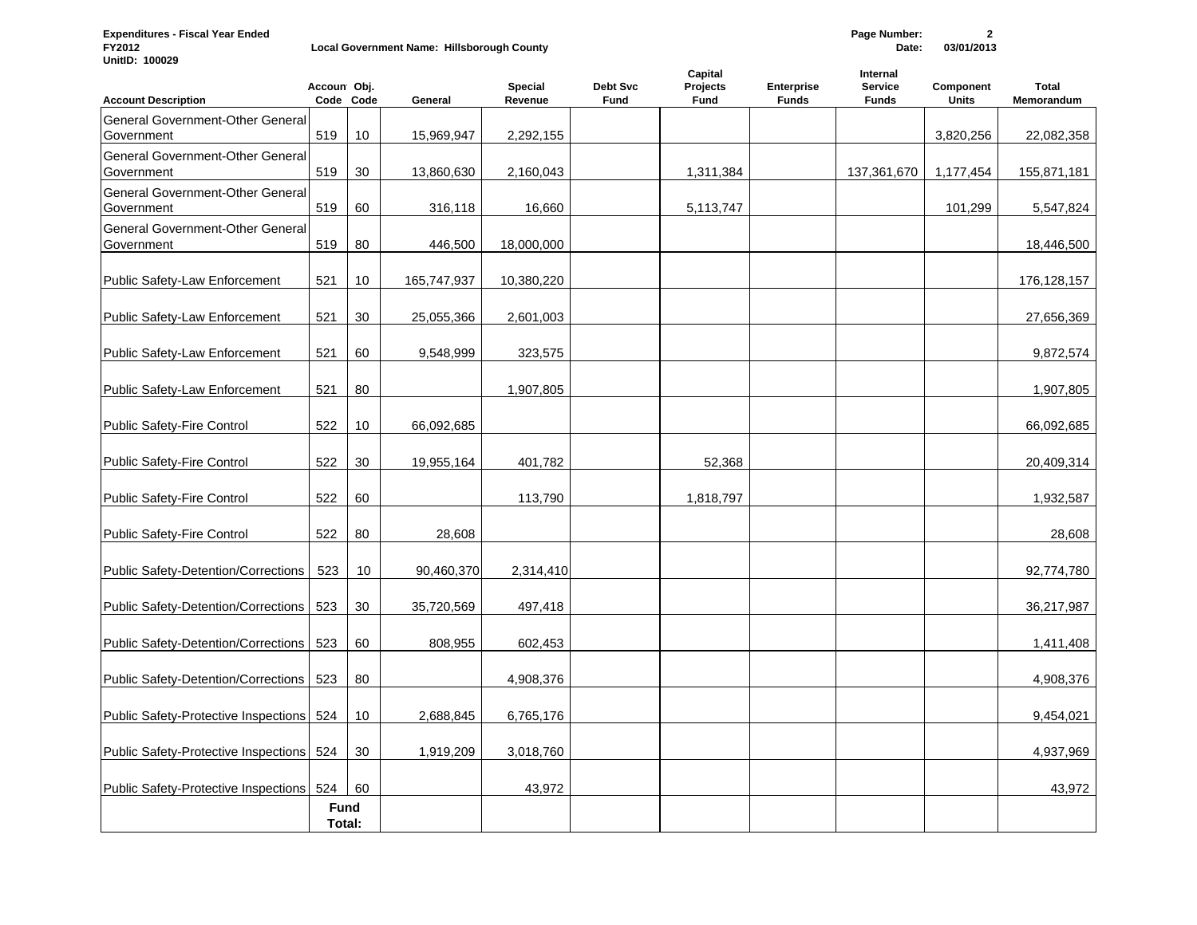**Expenditures - Fiscal Year Ended Page Number: 2 Local Government Name: Hillsborough County UnitID: 100029**

| <b>Account Description</b>                            | Accoun Obj.           | Code Code       | General     | <b>Special</b><br>Revenue | Debt Svc<br>Fund | Capital<br>Projects<br><b>Fund</b> | <b>Enterprise</b><br><b>Funds</b> | Internal<br><b>Service</b><br><b>Funds</b> | Component<br><b>Units</b> | <b>Total</b><br>Memorandum |
|-------------------------------------------------------|-----------------------|-----------------|-------------|---------------------------|------------------|------------------------------------|-----------------------------------|--------------------------------------------|---------------------------|----------------------------|
| General Government-Other General<br>Government        | 519                   | 10              | 15,969,947  | 2,292,155                 |                  |                                    |                                   |                                            | 3,820,256                 | 22,082,358                 |
| <b>General Government-Other General</b><br>Government | 519                   | 30              | 13,860,630  | 2,160,043                 |                  | 1,311,384                          |                                   | 137,361,670                                | 1,177,454                 | 155,871,181                |
| <b>General Government-Other General</b><br>Government | 519                   | 60              | 316,118     | 16,660                    |                  | 5,113,747                          |                                   |                                            | 101,299                   | 5,547,824                  |
| <b>General Government-Other General</b><br>Government | 519                   | 80              | 446,500     | 18,000,000                |                  |                                    |                                   |                                            |                           | 18,446,500                 |
| <b>Public Safety-Law Enforcement</b>                  | 521                   | 10 <sup>°</sup> | 165,747,937 | 10,380,220                |                  |                                    |                                   |                                            |                           | 176, 128, 157              |
| <b>Public Safety-Law Enforcement</b>                  | 521                   | 30              | 25,055,366  | 2,601,003                 |                  |                                    |                                   |                                            |                           | 27,656,369                 |
| Public Safety-Law Enforcement                         | 521                   | 60              | 9,548,999   | 323,575                   |                  |                                    |                                   |                                            |                           | 9,872,574                  |
| Public Safety-Law Enforcement                         | 521                   | 80              |             | 1,907,805                 |                  |                                    |                                   |                                            |                           | 1,907,805                  |
| <b>Public Safety-Fire Control</b>                     | 522                   | 10              | 66,092,685  |                           |                  |                                    |                                   |                                            |                           | 66,092,685                 |
| <b>Public Safety-Fire Control</b>                     | 522                   | 30              | 19,955,164  | 401,782                   |                  | 52,368                             |                                   |                                            |                           | 20,409,314                 |
| Public Safety-Fire Control                            | 522                   | 60              |             | 113,790                   |                  | 1,818,797                          |                                   |                                            |                           | 1,932,587                  |
| Public Safety-Fire Control                            | 522                   | 80              | 28,608      |                           |                  |                                    |                                   |                                            |                           | 28,608                     |
| Public Safety-Detention/Corrections                   | 523                   | 10              | 90,460,370  | 2,314,410                 |                  |                                    |                                   |                                            |                           | 92,774,780                 |
| <b>Public Safety-Detention/Corrections</b>            | 523                   | 30              | 35,720,569  | 497,418                   |                  |                                    |                                   |                                            |                           | 36,217,987                 |
| Public Safety-Detention/Corrections                   | 523                   | 60              | 808,955     | 602,453                   |                  |                                    |                                   |                                            |                           | 1,411,408                  |
| Public Safety-Detention/Corrections                   | 523                   | 80              |             | 4,908,376                 |                  |                                    |                                   |                                            |                           | 4,908,376                  |
| <b>Public Safety-Protective Inspections</b>           | 524                   | 10              | 2,688,845   | 6,765,176                 |                  |                                    |                                   |                                            |                           | 9,454,021                  |
| <b>Public Safety-Protective Inspections</b>           | 524                   | 30              | 1,919,209   | 3,018,760                 |                  |                                    |                                   |                                            |                           | 4,937,969                  |
| <b>Public Safety-Protective Inspections</b>           | 524                   | 60              |             | 43,972                    |                  |                                    |                                   |                                            |                           | 43,972                     |
|                                                       | <b>Fund</b><br>Total: |                 |             |                           |                  |                                    |                                   |                                            |                           |                            |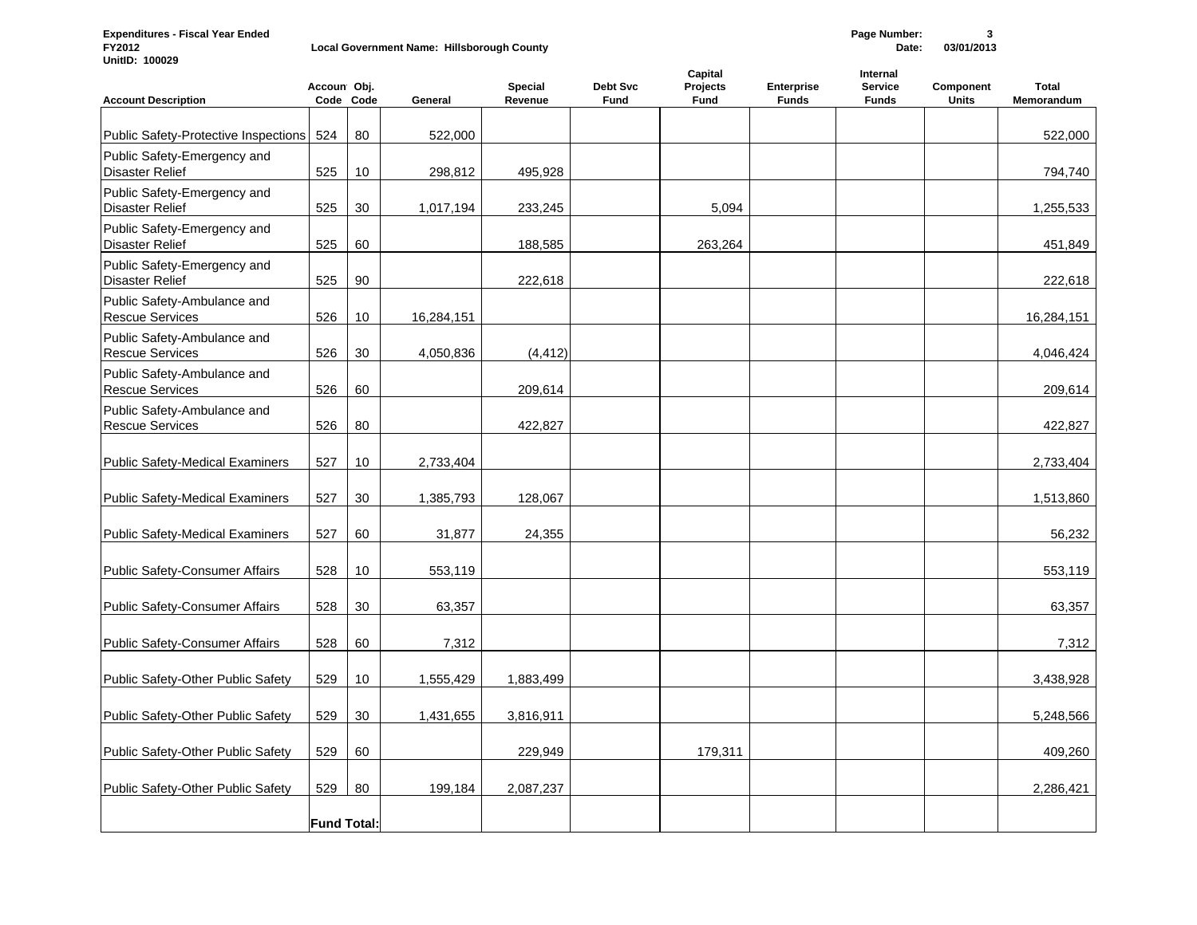**Expenditures - Fiscal Year Ended Page Number: 3 Local Government Name: Hillsborough County UnitID: 100029**

| <b>Account Description</b>                            | Accoun Obj.        | Code Code | General    | <b>Special</b><br>Revenue | Debt Svc<br><b>Fund</b> | Capital<br>Projects<br><b>Fund</b> | <b>Enterprise</b><br><b>Funds</b> | Internal<br><b>Service</b><br><b>Funds</b> | Component<br><b>Units</b> | <b>Total</b><br>Memorandum |
|-------------------------------------------------------|--------------------|-----------|------------|---------------------------|-------------------------|------------------------------------|-----------------------------------|--------------------------------------------|---------------------------|----------------------------|
| Public Safety-Protective Inspections                  | 524                | 80        | 522,000    |                           |                         |                                    |                                   |                                            |                           | 522,000                    |
| Public Safety-Emergency and<br><b>Disaster Relief</b> | 525                | 10        | 298,812    | 495,928                   |                         |                                    |                                   |                                            |                           | 794,740                    |
| Public Safety-Emergency and<br><b>Disaster Relief</b> | 525                | 30        | 1,017,194  | 233,245                   |                         | 5,094                              |                                   |                                            |                           | 1,255,533                  |
| Public Safety-Emergency and<br><b>Disaster Relief</b> | 525                | 60        |            | 188,585                   |                         | 263,264                            |                                   |                                            |                           | 451,849                    |
| Public Safety-Emergency and<br><b>Disaster Relief</b> | 525                | 90        |            | 222,618                   |                         |                                    |                                   |                                            |                           | 222,618                    |
| Public Safety-Ambulance and<br><b>Rescue Services</b> | 526                | 10        | 16,284,151 |                           |                         |                                    |                                   |                                            |                           | 16,284,151                 |
| Public Safety-Ambulance and<br><b>Rescue Services</b> | 526                | 30        | 4,050,836  | (4, 412)                  |                         |                                    |                                   |                                            |                           | 4,046,424                  |
| Public Safety-Ambulance and<br><b>Rescue Services</b> | 526                | 60        |            | 209,614                   |                         |                                    |                                   |                                            |                           | 209,614                    |
| Public Safety-Ambulance and<br><b>Rescue Services</b> | 526                | 80        |            | 422,827                   |                         |                                    |                                   |                                            |                           | 422,827                    |
| <b>Public Safety-Medical Examiners</b>                | 527                | 10        | 2,733,404  |                           |                         |                                    |                                   |                                            |                           | 2,733,404                  |
| <b>Public Safety-Medical Examiners</b>                | 527                | 30        | 1,385,793  | 128,067                   |                         |                                    |                                   |                                            |                           | 1,513,860                  |
| <b>Public Safety-Medical Examiners</b>                | 527                | 60        | 31,877     | 24,355                    |                         |                                    |                                   |                                            |                           | 56,232                     |
| <b>Public Safety-Consumer Affairs</b>                 | 528                | 10        | 553,119    |                           |                         |                                    |                                   |                                            |                           | 553,119                    |
| <b>Public Safety-Consumer Affairs</b>                 | 528                | 30        | 63,357     |                           |                         |                                    |                                   |                                            |                           | 63,357                     |
| <b>Public Safety-Consumer Affairs</b>                 | 528                | 60        | 7,312      |                           |                         |                                    |                                   |                                            |                           | 7,312                      |
| Public Safety-Other Public Safety                     | 529                | 10        | 1,555,429  | 1,883,499                 |                         |                                    |                                   |                                            |                           | 3,438,928                  |
| Public Safety-Other Public Safety                     | 529                | 30        | 1,431,655  | 3,816,911                 |                         |                                    |                                   |                                            |                           | 5,248,566                  |
| Public Safety-Other Public Safety                     | 529                | 60        |            | 229,949                   |                         | 179,311                            |                                   |                                            |                           | 409,260                    |
| Public Safety-Other Public Safety                     | 529                | 80        | 199,184    | 2,087,237                 |                         |                                    |                                   |                                            |                           | 2,286,421                  |
|                                                       | <b>Fund Total:</b> |           |            |                           |                         |                                    |                                   |                                            |                           |                            |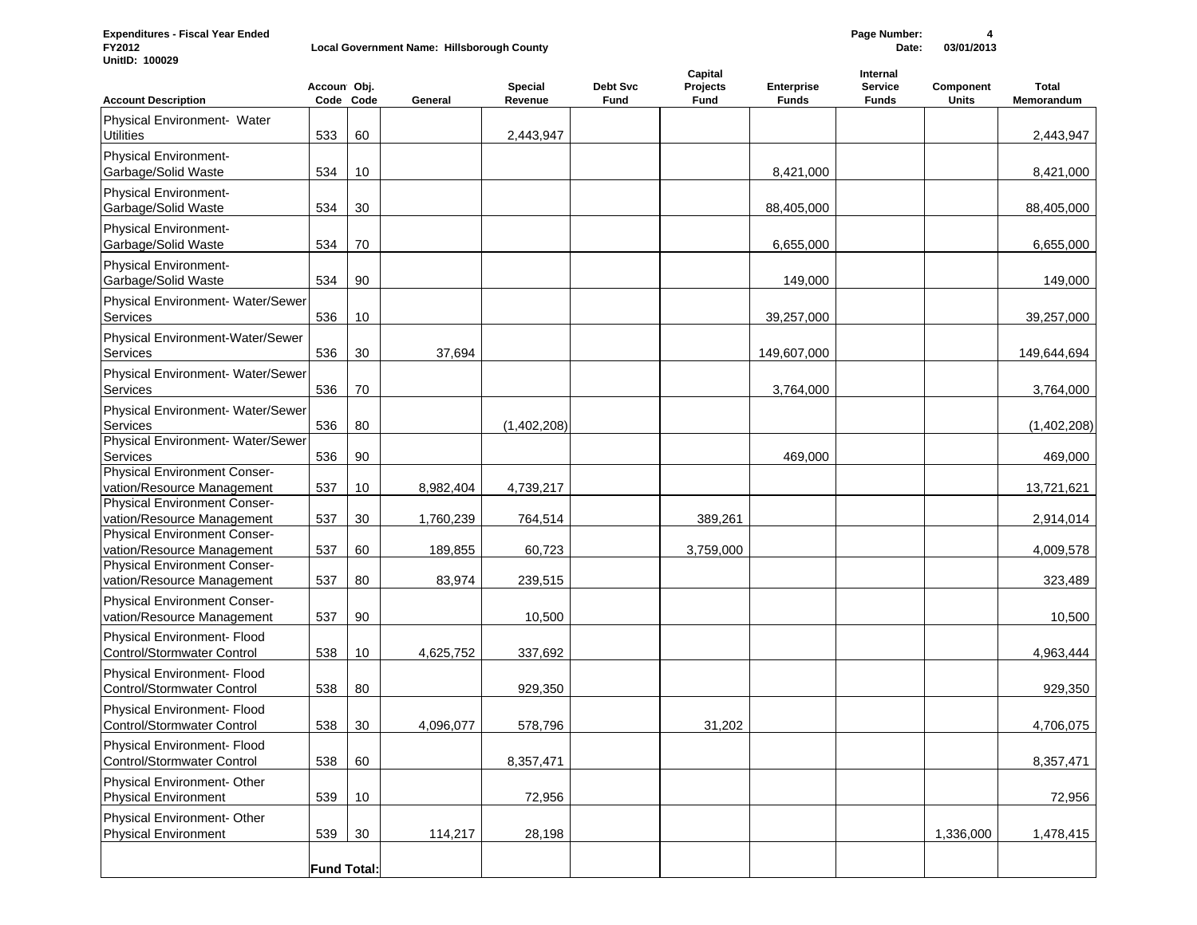**Expenditures - Fiscal Year Ended Page Number: 4 Local Government Name: Hillsborough County UnitID: 100029**

| <b>Account Description</b>                                                               | Accoun Obj.        | Code Code | General              | <b>Special</b><br>Revenue | Debt Svc<br>Fund | Capital<br>Projects<br>Fund | <b>Enterprise</b><br><b>Funds</b> | Internal<br><b>Service</b><br><b>Funds</b> | Component<br>Units | <b>Total</b><br>Memorandum |
|------------------------------------------------------------------------------------------|--------------------|-----------|----------------------|---------------------------|------------------|-----------------------------|-----------------------------------|--------------------------------------------|--------------------|----------------------------|
| Physical Environment- Water<br><b>Utilities</b>                                          | 533                | 60        |                      | 2,443,947                 |                  |                             |                                   |                                            |                    | 2,443,947                  |
| <b>Physical Environment-</b><br>Garbage/Solid Waste                                      | 534                | 10        |                      |                           |                  |                             | 8,421,000                         |                                            |                    | 8,421,000                  |
| <b>Physical Environment-</b><br>Garbage/Solid Waste                                      | 534                | 30        |                      |                           |                  |                             | 88,405,000                        |                                            |                    | 88,405,000                 |
| <b>Physical Environment-</b><br>Garbage/Solid Waste                                      | 534                | 70        |                      |                           |                  |                             | 6,655,000                         |                                            |                    | 6,655,000                  |
| <b>Physical Environment-</b><br>Garbage/Solid Waste                                      | 534                | 90        |                      |                           |                  |                             | 149,000                           |                                            |                    | 149,000                    |
| Physical Environment- Water/Sewer<br>Services                                            | 536                | 10        |                      |                           |                  |                             | 39,257,000                        |                                            |                    | 39,257,000                 |
| Physical Environment-Water/Sewer<br>Services                                             | 536                | 30        | 37,694               |                           |                  |                             | 149,607,000                       |                                            |                    | 149,644,694                |
| Physical Environment- Water/Sewer<br>Services                                            | 536                | 70        |                      |                           |                  |                             | 3,764,000                         |                                            |                    | 3,764,000                  |
| Physical Environment- Water/Sewer<br>Services<br>Physical Environment- Water/Sewer       | 536                | 80        |                      | (1,402,208)               |                  |                             |                                   |                                            |                    | (1,402,208)                |
| Services<br><b>Physical Environment Conser-</b>                                          | 536                | 90        |                      |                           |                  |                             | 469,000                           |                                            |                    | 469,000                    |
| vation/Resource Management<br>Physical Environment Conser-                               | 537                | 10        | 8,982,404            | 4,739,217                 |                  |                             |                                   |                                            |                    | 13,721,621                 |
| vation/Resource Management<br>Physical Environment Conser-<br>vation/Resource Management | 537<br>537         | 30<br>60  | 1,760,239<br>189,855 | 764,514<br>60,723         |                  | 389,261<br>3,759,000        |                                   |                                            |                    | 2,914,014<br>4,009,578     |
| Physical Environment Conser-<br>vation/Resource Management                               | 537                | 80        | 83,974               | 239,515                   |                  |                             |                                   |                                            |                    | 323,489                    |
| Physical Environment Conser-<br>vation/Resource Management                               | 537                | 90        |                      | 10,500                    |                  |                             |                                   |                                            |                    | 10,500                     |
| Physical Environment- Flood<br>Control/Stormwater Control                                | 538                | 10        | 4,625,752            | 337,692                   |                  |                             |                                   |                                            |                    | 4,963,444                  |
| Physical Environment- Flood<br><b>Control/Stormwater Control</b>                         | 538                | 80        |                      | 929,350                   |                  |                             |                                   |                                            |                    | 929,350                    |
| Physical Environment- Flood<br><b>Control/Stormwater Control</b>                         | 538                | 30        | 4,096,077            | 578,796                   |                  | 31,202                      |                                   |                                            |                    | 4,706,075                  |
| Physical Environment- Flood<br>Control/Stormwater Control                                | 538                | 60        |                      | 8,357,471                 |                  |                             |                                   |                                            |                    | 8,357,471                  |
| Physical Environment- Other<br><b>Physical Environment</b>                               | 539                | 10        |                      | 72,956                    |                  |                             |                                   |                                            |                    | 72,956                     |
| Physical Environment- Other<br><b>Physical Environment</b>                               | 539                | 30        | 114,217              | 28,198                    |                  |                             |                                   |                                            | 1,336,000          | 1,478,415                  |
|                                                                                          | <b>Fund Total:</b> |           |                      |                           |                  |                             |                                   |                                            |                    |                            |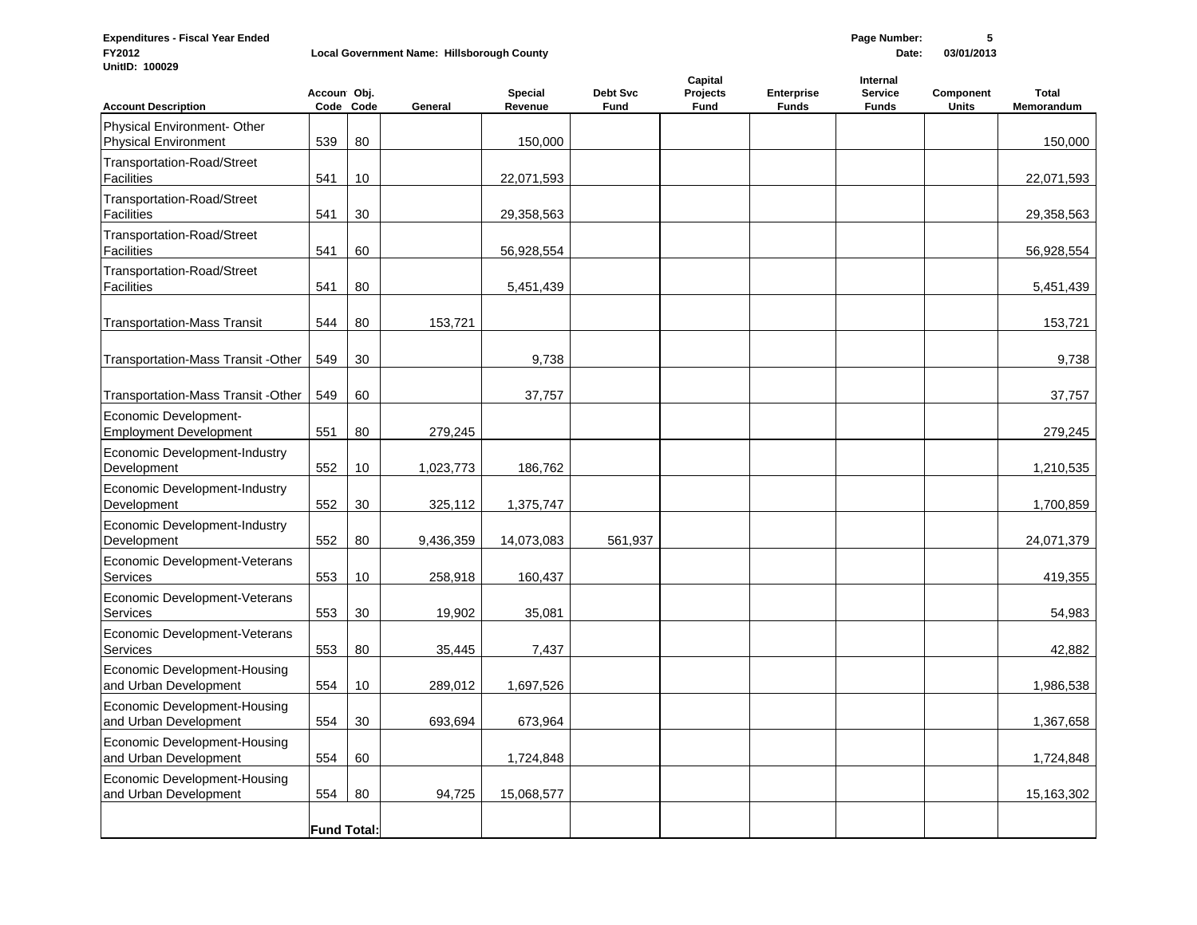| <b>Expenditures - Fiscal Year Ended</b><br>FY2012<br>UnitID: 100029 | Page Number:<br>5<br>Local Government Name: Hillsborough County<br>Date:<br>03/01/2013 |           |           |                           |                  |                             |                                   |                                     |                           |                            |
|---------------------------------------------------------------------|----------------------------------------------------------------------------------------|-----------|-----------|---------------------------|------------------|-----------------------------|-----------------------------------|-------------------------------------|---------------------------|----------------------------|
| <b>Account Description</b>                                          | Accoun Obj.                                                                            | Code Code | General   | <b>Special</b><br>Revenue | Debt Svc<br>Fund | Capital<br>Projects<br>Fund | <b>Enterprise</b><br><b>Funds</b> | Internal<br>Service<br><b>Funds</b> | Component<br><b>Units</b> | <b>Total</b><br>Memorandum |
| Physical Environment- Other                                         |                                                                                        |           |           |                           |                  |                             |                                   |                                     |                           |                            |
| Physical Environment<br>Transportation-Road/Street                  | 539                                                                                    | 80        |           | 150,000                   |                  |                             |                                   |                                     |                           | 150,000                    |
| Facilities<br>Transportation-Road/Street                            | 541                                                                                    | 10        |           | 22,071,593                |                  |                             |                                   |                                     |                           | 22,071,593                 |
| Facilities<br>Transportation-Road/Street<br>Facilities              | 541<br>541                                                                             | 30<br>60  |           | 29,358,563<br>56,928,554  |                  |                             |                                   |                                     |                           | 29,358,563<br>56,928,554   |
| Transportation-Road/Street<br>Facilities                            | 541                                                                                    | 80        |           | 5,451,439                 |                  |                             |                                   |                                     |                           | 5,451,439                  |
| Transportation-Mass Transit                                         | 544                                                                                    | 80        | 153,721   |                           |                  |                             |                                   |                                     |                           | 153,721                    |
| Transportation-Mass Transit - Other                                 | 549                                                                                    | 30        |           | 9,738                     |                  |                             |                                   |                                     |                           | 9,738                      |
| Transportation-Mass Transit - Other                                 | 549                                                                                    | 60        |           | 37,757                    |                  |                             |                                   |                                     |                           | 37,757                     |
| Economic Development-<br><b>Employment Development</b>              | 551                                                                                    | 80        | 279,245   |                           |                  |                             |                                   |                                     |                           | 279,245                    |
| Economic Development-Industry<br>Development                        | 552                                                                                    | 10        | 1,023,773 | 186,762                   |                  |                             |                                   |                                     |                           | 1,210,535                  |
| Economic Development-Industry<br>Development                        | 552                                                                                    | 30        | 325,112   | 1,375,747                 |                  |                             |                                   |                                     |                           | 1,700,859                  |
| Economic Development-Industry<br>Development                        | 552                                                                                    | 80        | 9,436,359 | 14,073,083                | 561,937          |                             |                                   |                                     |                           | 24,071,379                 |
| Economic Development-Veterans<br>Services                           | 553                                                                                    | 10        | 258,918   | 160,437                   |                  |                             |                                   |                                     |                           | 419,355                    |
| Economic Development-Veterans<br>Services                           | 553                                                                                    | 30        | 19,902    | 35,081                    |                  |                             |                                   |                                     |                           | 54,983                     |
| Economic Development-Veterans<br>Services                           | 553                                                                                    | 80        | 35,445    | 7,437                     |                  |                             |                                   |                                     |                           | 42,882                     |
| Economic Development-Housing<br>and Urban Development               | 554                                                                                    | 10        | 289,012   | 1,697,526                 |                  |                             |                                   |                                     |                           | 1,986,538                  |
| Economic Development-Housing<br>and Urban Development               | 554                                                                                    | $30\,$    | 693,694   | 673,964                   |                  |                             |                                   |                                     |                           | 1,367,658                  |
| Economic Development-Housing<br>and Urban Development               | 554                                                                                    | 60        |           | 1,724,848                 |                  |                             |                                   |                                     |                           | 1,724,848                  |
| Economic Development-Housing<br>and Urban Development               | 554                                                                                    | 80        | 94,725    | 15,068,577                |                  |                             |                                   |                                     |                           | 15,163,302                 |
|                                                                     | <b>Fund Total:</b>                                                                     |           |           |                           |                  |                             |                                   |                                     |                           |                            |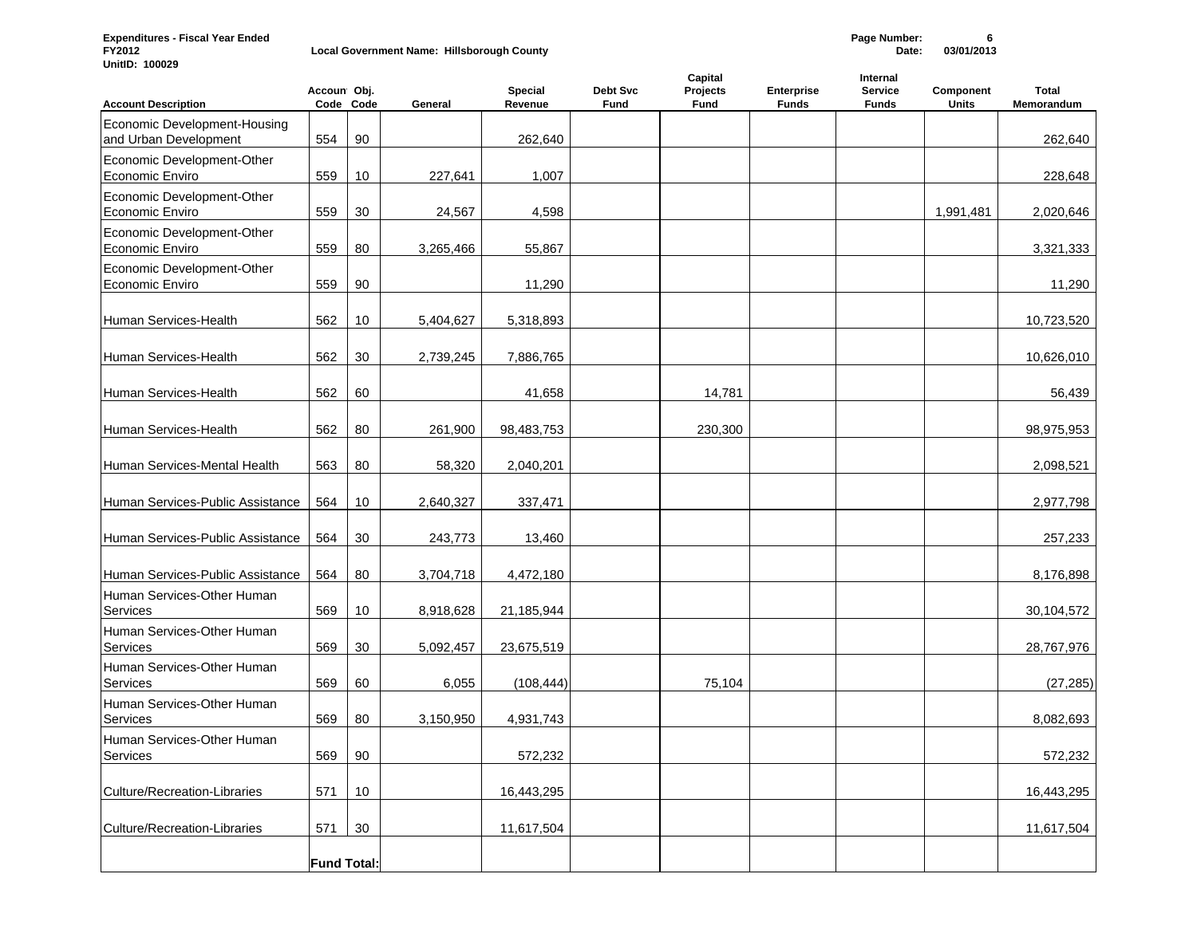**Expenditures - Fiscal Year Ended Page Number: 6**

**UnitID: 100029**

**Local Government Name: Hillsborough County** 

| <b>Account Description</b>                            | Accoun Obj.        | Code Code | General   | Special<br>Revenue | Debt Svc<br>Fund | Capital<br>Projects<br>Fund | <b>Enterprise</b><br><b>Funds</b> | Internal<br><b>Service</b><br><b>Funds</b> | Component<br>Units | <b>Total</b><br>Memorandum |
|-------------------------------------------------------|--------------------|-----------|-----------|--------------------|------------------|-----------------------------|-----------------------------------|--------------------------------------------|--------------------|----------------------------|
| Economic Development-Housing<br>and Urban Development | 554                | 90        |           | 262,640            |                  |                             |                                   |                                            |                    | 262,640                    |
| Economic Development-Other<br>Economic Enviro         | 559                | 10        | 227,641   | 1,007              |                  |                             |                                   |                                            |                    | 228,648                    |
| Economic Development-Other<br>Economic Enviro         | 559                | 30        | 24,567    | 4,598              |                  |                             |                                   |                                            | 1,991,481          | 2,020,646                  |
| Economic Development-Other<br>Economic Enviro         | 559                | 80        | 3,265,466 | 55,867             |                  |                             |                                   |                                            |                    | 3,321,333                  |
| Economic Development-Other<br>Economic Enviro         | 559                | 90        |           | 11,290             |                  |                             |                                   |                                            |                    | 11,290                     |
| Human Services-Health                                 | 562                | 10        | 5,404,627 | 5,318,893          |                  |                             |                                   |                                            |                    | 10,723,520                 |
| Human Services-Health                                 | 562                | 30        | 2,739,245 | 7,886,765          |                  |                             |                                   |                                            |                    | 10,626,010                 |
| Human Services-Health                                 | 562                | 60        |           | 41,658             |                  | 14,781                      |                                   |                                            |                    | 56,439                     |
| Human Services-Health                                 | 562                | 80        | 261,900   | 98,483,753         |                  | 230,300                     |                                   |                                            |                    | 98,975,953                 |
| Human Services-Mental Health                          | 563                | 80        | 58,320    | 2,040,201          |                  |                             |                                   |                                            |                    | 2,098,521                  |
| Human Services-Public Assistance                      | 564                | 10        | 2,640,327 | 337,471            |                  |                             |                                   |                                            |                    | 2,977,798                  |
| Human Services-Public Assistance                      | 564                | 30        | 243,773   | 13,460             |                  |                             |                                   |                                            |                    | 257,233                    |
| Human Services-Public Assistance                      | 564                | 80        | 3,704,718 | 4,472,180          |                  |                             |                                   |                                            |                    | 8,176,898                  |
| Human Services-Other Human<br><b>Services</b>         | 569                | 10        | 8,918,628 | 21,185,944         |                  |                             |                                   |                                            |                    | 30,104,572                 |
| Human Services-Other Human<br>Services                | 569                | 30        | 5,092,457 | 23,675,519         |                  |                             |                                   |                                            |                    | 28,767,976                 |
| Human Services-Other Human<br>Services                | 569                | 60        | 6,055     | (108, 444)         |                  | 75,104                      |                                   |                                            |                    | (27, 285)                  |
| Human Services-Other Human<br>Services                | 569                | 80        | 3,150,950 | 4,931,743          |                  |                             |                                   |                                            |                    | 8,082,693                  |
| Human Services-Other Human<br>Services                | 569                | 90        |           | 572,232            |                  |                             |                                   |                                            |                    | 572,232                    |
| <b>Culture/Recreation-Libraries</b>                   | 571                | 10        |           | 16,443,295         |                  |                             |                                   |                                            |                    | 16,443,295                 |
| Culture/Recreation-Libraries                          | 571                | 30        |           | 11,617,504         |                  |                             |                                   |                                            |                    | 11,617,504                 |
|                                                       | <b>Fund Total:</b> |           |           |                    |                  |                             |                                   |                                            |                    |                            |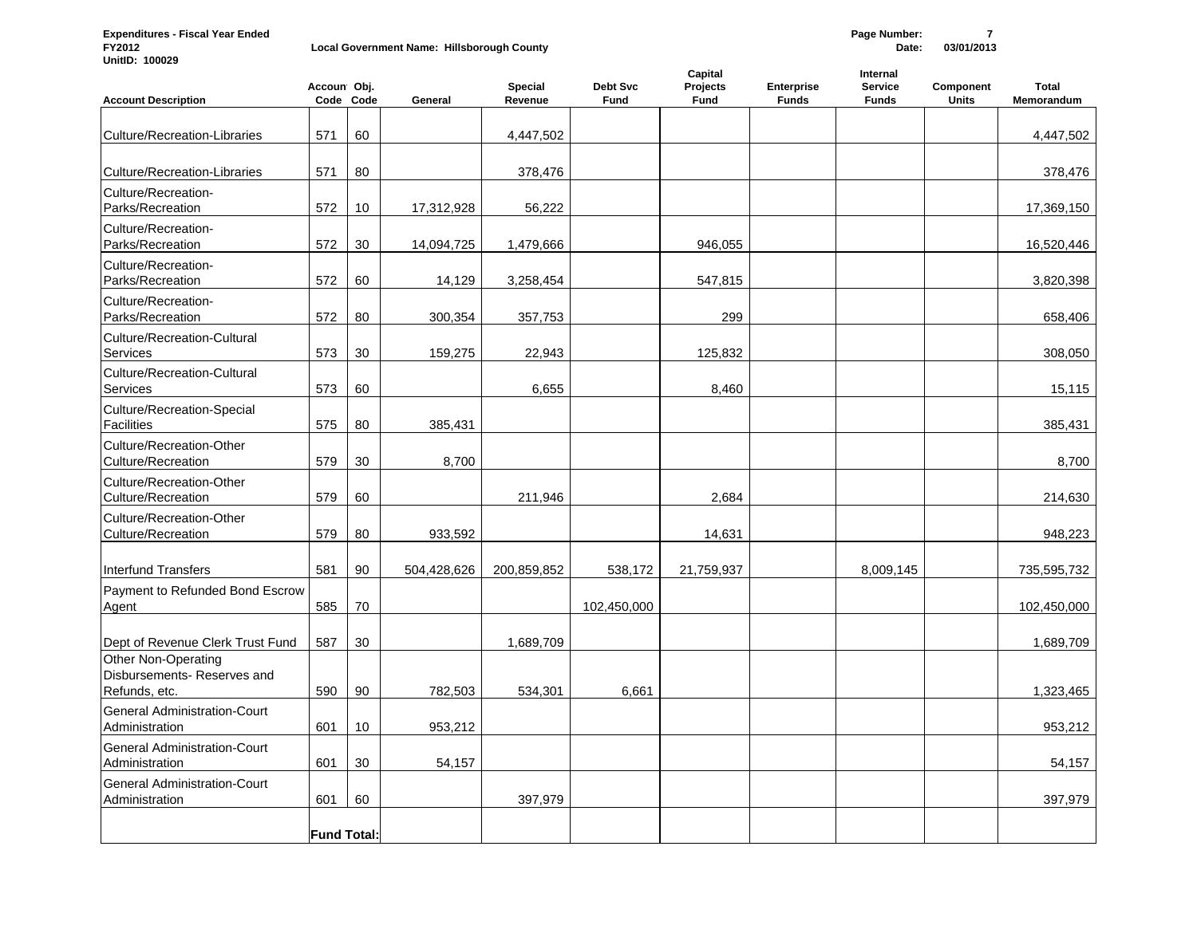**Expenditures - Fiscal Year Ended Page Number: 7**

**UnitID: 100029**

**Local Government Name: Hillsborough County** 

| <b>Account Description</b>                                                | Accoun Obj.        | Code Code | General     | Special<br>Revenue | <b>Debt Svc</b><br><b>Fund</b> | Capital<br>Projects<br>Fund | <b>Enterprise</b><br><b>Funds</b> | Internal<br><b>Service</b><br><b>Funds</b> | Component<br><b>Units</b> | <b>Total</b><br>Memorandum |
|---------------------------------------------------------------------------|--------------------|-----------|-------------|--------------------|--------------------------------|-----------------------------|-----------------------------------|--------------------------------------------|---------------------------|----------------------------|
| <b>Culture/Recreation-Libraries</b>                                       | 571                | 60        |             | 4,447,502          |                                |                             |                                   |                                            |                           | 4,447,502                  |
| <b>Culture/Recreation-Libraries</b>                                       | 571                | 80        |             | 378,476            |                                |                             |                                   |                                            |                           | 378,476                    |
| Culture/Recreation-<br>Parks/Recreation                                   | 572                | 10        | 17,312,928  | 56,222             |                                |                             |                                   |                                            |                           | 17,369,150                 |
| Culture/Recreation-<br>Parks/Recreation                                   | 572                | 30        | 14,094,725  | 1,479,666          |                                | 946,055                     |                                   |                                            |                           | 16,520,446                 |
| Culture/Recreation-<br>Parks/Recreation                                   | 572                | 60        | 14,129      | 3,258,454          |                                | 547,815                     |                                   |                                            |                           | 3,820,398                  |
| Culture/Recreation-<br>Parks/Recreation                                   | 572                | 80        | 300,354     | 357,753            |                                | 299                         |                                   |                                            |                           | 658,406                    |
| Culture/Recreation-Cultural<br>Services                                   | 573                | 30        | 159,275     | 22,943             |                                | 125,832                     |                                   |                                            |                           | 308,050                    |
| Culture/Recreation-Cultural<br><b>Services</b>                            | 573                | 60        |             | 6,655              |                                | 8,460                       |                                   |                                            |                           | 15,115                     |
| Culture/Recreation-Special<br><b>Facilities</b>                           | 575                | 80        | 385,431     |                    |                                |                             |                                   |                                            |                           | 385,431                    |
| Culture/Recreation-Other<br>Culture/Recreation                            | 579                | 30        | 8,700       |                    |                                |                             |                                   |                                            |                           | 8,700                      |
| Culture/Recreation-Other<br>Culture/Recreation                            | 579                | 60        |             | 211,946            |                                | 2.684                       |                                   |                                            |                           | 214,630                    |
| Culture/Recreation-Other<br>Culture/Recreation                            | 579                | 80        | 933,592     |                    |                                | 14,631                      |                                   |                                            |                           | 948,223                    |
| <b>Interfund Transfers</b>                                                | 581                | 90        | 504,428,626 | 200,859,852        | 538,172                        | 21,759,937                  |                                   | 8,009,145                                  |                           | 735,595,732                |
| Payment to Refunded Bond Escrow<br>Agent                                  | 585                | 70        |             |                    | 102,450,000                    |                             |                                   |                                            |                           | 102,450,000                |
| Dept of Revenue Clerk Trust Fund                                          | 587                | 30        |             | 1,689,709          |                                |                             |                                   |                                            |                           | 1,689,709                  |
| <b>Other Non-Operating</b><br>Disbursements-Reserves and<br>Refunds, etc. | 590                | 90        | 782,503     | 534,301            | 6,661                          |                             |                                   |                                            |                           | 1,323,465                  |
| <b>General Administration-Court</b><br>Administration                     | 601                | 10        | 953,212     |                    |                                |                             |                                   |                                            |                           | 953,212                    |
| <b>General Administration-Court</b><br>Administration                     | 601                | 30        | 54,157      |                    |                                |                             |                                   |                                            |                           | 54,157                     |
| <b>General Administration-Court</b><br>Administration                     | 601                | 60        |             | 397,979            |                                |                             |                                   |                                            |                           | 397,979                    |
|                                                                           | <b>Fund Total:</b> |           |             |                    |                                |                             |                                   |                                            |                           |                            |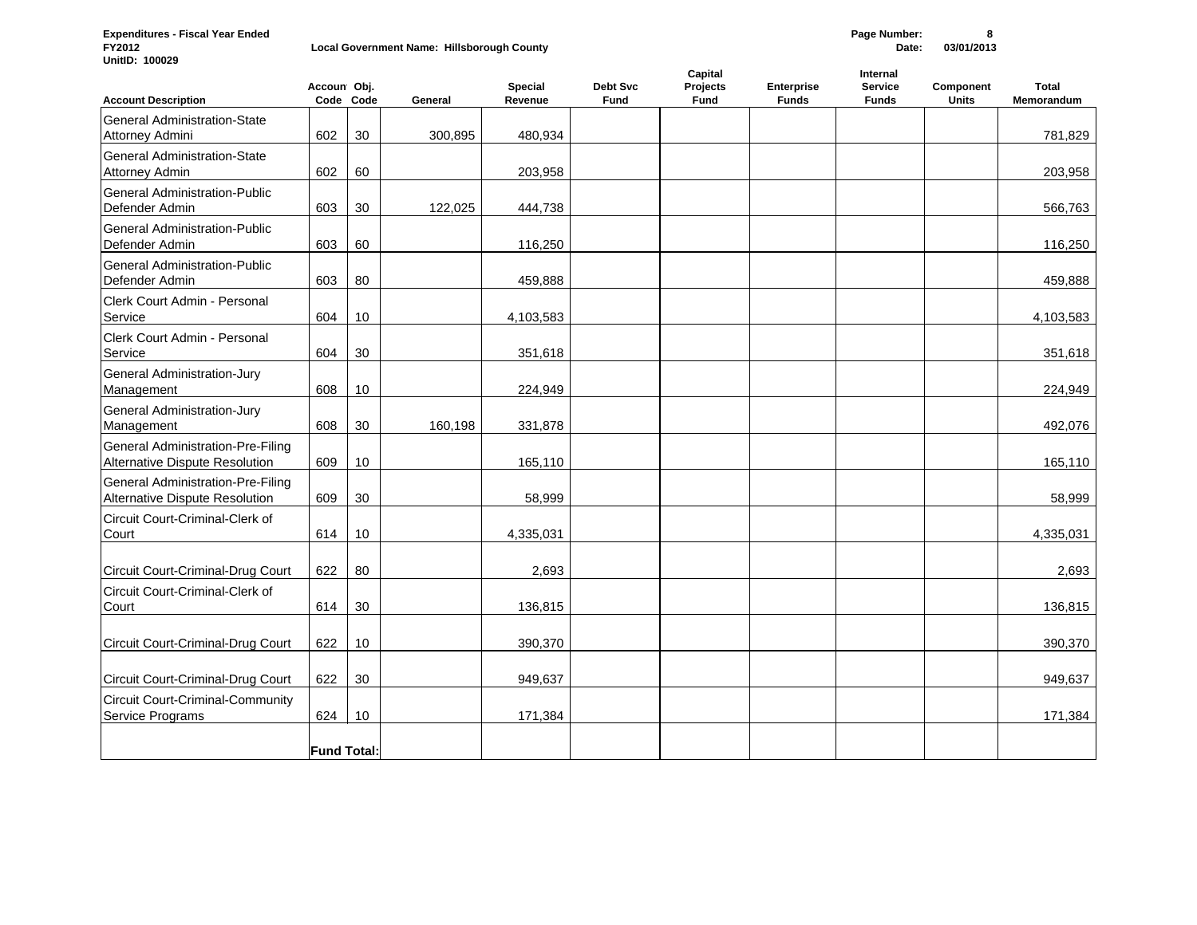**Expenditures - Fiscal Year Ended Page Number: 8 Local Government Name: Hillsborough County UnitID: 100029**

**Fund Total:**

| <b>Account Description</b>                                                 | Accoun Obj. | Code Code | General | Special<br>Revenue | Debt Svc<br>Fund | Capital<br>Projects<br>Fund | <b>Enterprise</b><br><b>Funds</b> | Internal<br><b>Service</b><br><b>Funds</b> | Component<br><b>Units</b> | <b>Total</b><br>Memorandum |
|----------------------------------------------------------------------------|-------------|-----------|---------|--------------------|------------------|-----------------------------|-----------------------------------|--------------------------------------------|---------------------------|----------------------------|
| General Administration-State<br>Attorney Admini                            | 602         | 30        | 300,895 | 480,934            |                  |                             |                                   |                                            |                           | 781,829                    |
| General Administration-State<br><b>Attorney Admin</b>                      | 602         | 60        |         | 203,958            |                  |                             |                                   |                                            |                           | 203,958                    |
| General Administration-Public<br>Defender Admin                            | 603         | 30        | 122,025 | 444,738            |                  |                             |                                   |                                            |                           | 566,763                    |
| General Administration-Public<br>Defender Admin                            | 603         | 60        |         | 116,250            |                  |                             |                                   |                                            |                           | 116,250                    |
| General Administration-Public<br>Defender Admin                            | 603         | 80        |         | 459,888            |                  |                             |                                   |                                            |                           | 459,888                    |
| Clerk Court Admin - Personal<br>Service                                    | 604         | 10        |         | 4,103,583          |                  |                             |                                   |                                            |                           | 4,103,583                  |
| Clerk Court Admin - Personal<br>Service                                    | 604         | 30        |         | 351,618            |                  |                             |                                   |                                            |                           | 351,618                    |
| General Administration-Jury<br>Management                                  | 608         | 10        |         | 224,949            |                  |                             |                                   |                                            |                           | 224,949                    |
| General Administration-Jury<br>Management                                  | 608         | 30        | 160,198 | 331,878            |                  |                             |                                   |                                            |                           | 492,076                    |
| General Administration-Pre-Filing<br><b>Alternative Dispute Resolution</b> | 609         | 10        |         | 165,110            |                  |                             |                                   |                                            |                           | 165,110                    |
| General Administration-Pre-Filing<br><b>Alternative Dispute Resolution</b> | 609         | 30        |         | 58,999             |                  |                             |                                   |                                            |                           | 58,999                     |
| Circuit Court-Criminal-Clerk of<br>Court                                   | 614         | 10        |         | 4,335,031          |                  |                             |                                   |                                            |                           | 4,335,031                  |
| Circuit Court-Criminal-Drug Court                                          | 622         | 80        |         | 2,693              |                  |                             |                                   |                                            |                           | 2,693                      |
| Circuit Court-Criminal-Clerk of<br>Court                                   | 614         | 30        |         | 136,815            |                  |                             |                                   |                                            |                           | 136,815                    |
| Circuit Court-Criminal-Drug Court                                          | 622         | 10        |         | 390,370            |                  |                             |                                   |                                            |                           | 390,370                    |
| Circuit Court-Criminal-Drug Court                                          | 622         | 30        |         | 949,637            |                  |                             |                                   |                                            |                           | 949,637                    |
| <b>Circuit Court-Criminal-Community</b><br>Service Programs                | 624         | 10        |         | 171,384            |                  |                             |                                   |                                            |                           | 171,384                    |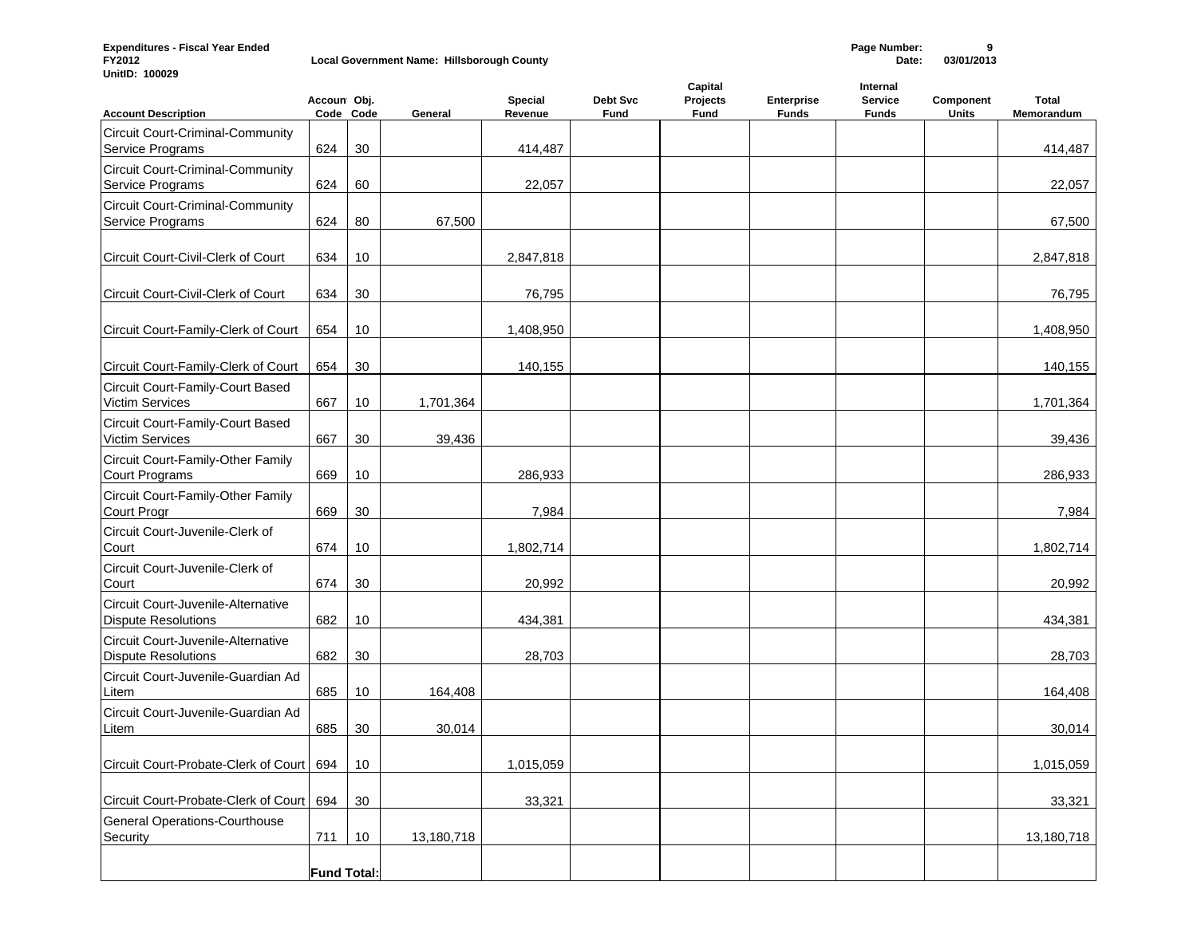**Expenditures - Fiscal Year Ended Page Number: 9**  $$ 

**UnitID: 100029**

| <b>Account Description</b>                                       | Accoun Obj.        | Code Code | General    | Special<br>Revenue | Debt Svc<br>Fund | Capital<br>Projects<br><b>Fund</b> | <b>Enterprise</b><br><b>Funds</b> | Internal<br><b>Service</b><br><b>Funds</b> | Component<br><b>Units</b> | Total<br>Memorandum |
|------------------------------------------------------------------|--------------------|-----------|------------|--------------------|------------------|------------------------------------|-----------------------------------|--------------------------------------------|---------------------------|---------------------|
| <b>Circuit Court-Criminal-Community</b><br>Service Programs      | 624                | 30        |            | 414,487            |                  |                                    |                                   |                                            |                           | 414,487             |
| <b>Circuit Court-Criminal-Community</b><br>Service Programs      | 624                | 60        |            | 22,057             |                  |                                    |                                   |                                            |                           | 22,057              |
| <b>Circuit Court-Criminal-Community</b><br>Service Programs      | 624                | 80        | 67,500     |                    |                  |                                    |                                   |                                            |                           | 67,500              |
| Circuit Court-Civil-Clerk of Court                               | 634                | 10        |            | 2,847,818          |                  |                                    |                                   |                                            |                           | 2,847,818           |
| Circuit Court-Civil-Clerk of Court                               | 634                | 30        |            | 76,795             |                  |                                    |                                   |                                            |                           | 76,795              |
| Circuit Court-Family-Clerk of Court                              | 654                | 10        |            | 1,408,950          |                  |                                    |                                   |                                            |                           | 1,408,950           |
| Circuit Court-Family-Clerk of Court                              | 654                | 30        |            | 140,155            |                  |                                    |                                   |                                            |                           | 140,155             |
| Circuit Court-Family-Court Based<br>Victim Services              | 667                | 10        | 1,701,364  |                    |                  |                                    |                                   |                                            |                           | 1,701,364           |
| Circuit Court-Family-Court Based<br>Victim Services              | 667                | 30        | 39,436     |                    |                  |                                    |                                   |                                            |                           | 39,436              |
| Circuit Court-Family-Other Family<br><b>Court Programs</b>       | 669                | 10        |            | 286,933            |                  |                                    |                                   |                                            |                           | 286,933             |
| Circuit Court-Family-Other Family<br>Court Progr                 | 669                | 30        |            | 7,984              |                  |                                    |                                   |                                            |                           | 7,984               |
| Circuit Court-Juvenile-Clerk of<br>Court                         | 674                | 10        |            | 1,802,714          |                  |                                    |                                   |                                            |                           | 1,802,714           |
| Circuit Court-Juvenile-Clerk of<br>Court                         | 674                | 30        |            | 20,992             |                  |                                    |                                   |                                            |                           | 20,992              |
| Circuit Court-Juvenile-Alternative<br><b>Dispute Resolutions</b> | 682                | 10        |            | 434,381            |                  |                                    |                                   |                                            |                           | 434,381             |
| Circuit Court-Juvenile-Alternative<br><b>Dispute Resolutions</b> | 682                | 30        |            | 28,703             |                  |                                    |                                   |                                            |                           | 28,703              |
| Circuit Court-Juvenile-Guardian Ad<br>Litem                      | 685                | 10        | 164,408    |                    |                  |                                    |                                   |                                            |                           | 164,408             |
| Circuit Court-Juvenile-Guardian Ad<br>Litem                      | 685                | 30        | 30,014     |                    |                  |                                    |                                   |                                            |                           | 30,014              |
| Circuit Court-Probate-Clerk of Court 694                         |                    | 10        |            | 1,015,059          |                  |                                    |                                   |                                            |                           | 1,015,059           |
| Circuit Court-Probate-Clerk of Court   694                       |                    | 30        |            | 33,321             |                  |                                    |                                   |                                            |                           | 33,321              |
| General Operations-Courthouse<br>Security                        | 711                | 10        | 13,180,718 |                    |                  |                                    |                                   |                                            |                           | 13,180,718          |
|                                                                  | <b>Fund Total:</b> |           |            |                    |                  |                                    |                                   |                                            |                           |                     |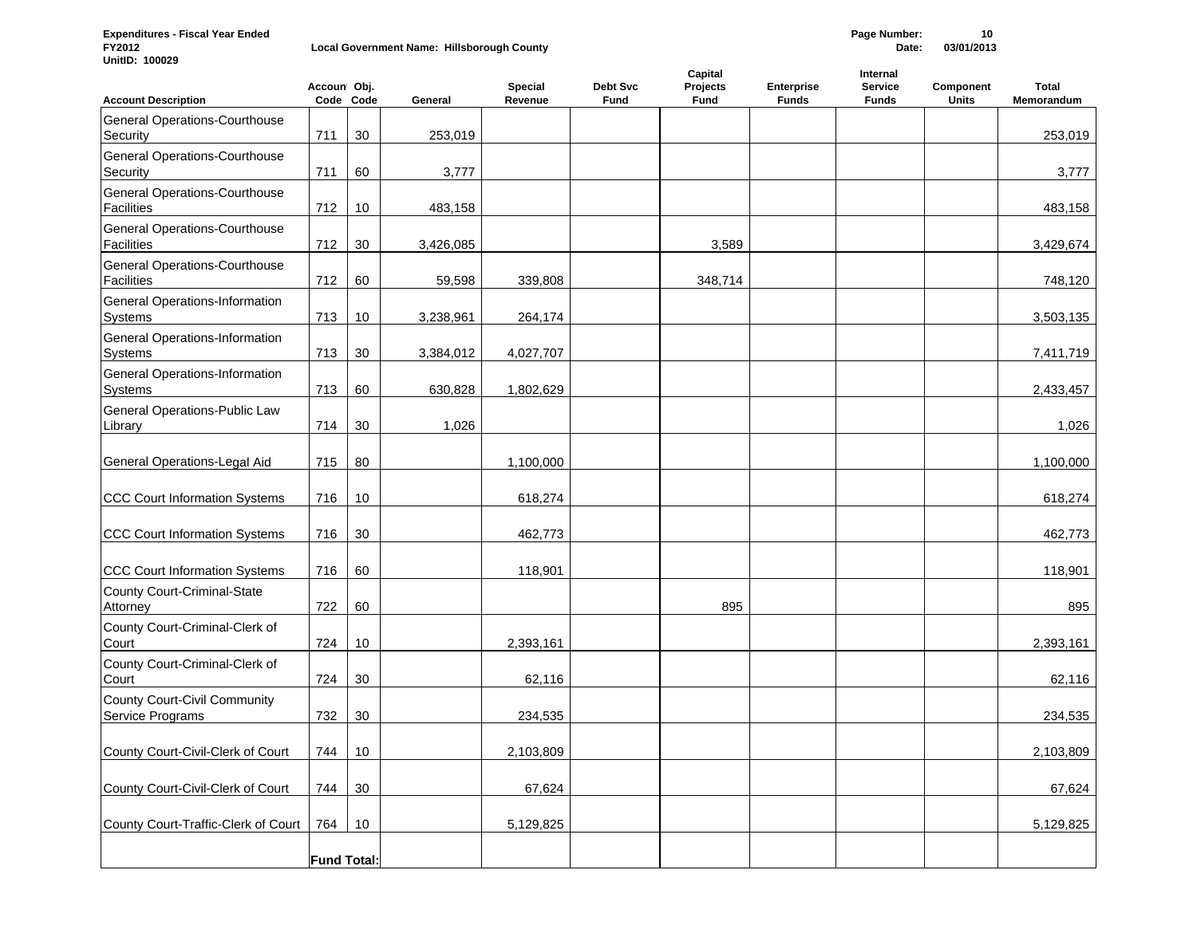**Expenditures - Fiscal Year Ended Page Number: 10 Local Government Name: Hillsborough County UnitID: 100029**

| <b>Account Description</b>                                | Accoun Obj.        | Code Code | General   | <b>Special</b><br>Revenue | Debt Svc<br>Fund | Capital<br>Projects<br>Fund | <b>Enterprise</b><br><b>Funds</b> | Internal<br><b>Service</b><br><b>Funds</b> | Component<br>Units | Total<br>Memorandum |
|-----------------------------------------------------------|--------------------|-----------|-----------|---------------------------|------------------|-----------------------------|-----------------------------------|--------------------------------------------|--------------------|---------------------|
| <b>General Operations-Courthouse</b><br>Security          | 711                | 30        | 253,019   |                           |                  |                             |                                   |                                            |                    | 253,019             |
| General Operations-Courthouse<br>Security                 | 711                | 60        | 3,777     |                           |                  |                             |                                   |                                            |                    | 3,777               |
| General Operations-Courthouse<br><b>Facilities</b>        | 712                | 10        | 483,158   |                           |                  |                             |                                   |                                            |                    | 483,158             |
| <b>General Operations-Courthouse</b><br><b>Facilities</b> | 712                | 30        | 3,426,085 |                           |                  | 3,589                       |                                   |                                            |                    | 3,429,674           |
| <b>General Operations-Courthouse</b><br><b>Facilities</b> | 712                | 60        | 59,598    | 339,808                   |                  | 348,714                     |                                   |                                            |                    | 748,120             |
| General Operations-Information<br><b>Systems</b>          | 713                | 10        | 3,238,961 | 264,174                   |                  |                             |                                   |                                            |                    | 3,503,135           |
| General Operations-Information<br><b>Systems</b>          | 713                | 30        | 3,384,012 | 4,027,707                 |                  |                             |                                   |                                            |                    | 7,411,719           |
| General Operations-Information<br>Systems                 | 713                | 60        | 630,828   | 1,802,629                 |                  |                             |                                   |                                            |                    | 2,433,457           |
| General Operations-Public Law<br>Library                  | 714                | 30        | 1,026     |                           |                  |                             |                                   |                                            |                    | 1,026               |
| General Operations-Legal Aid                              | 715                | 80        |           | 1,100,000                 |                  |                             |                                   |                                            |                    | 1,100,000           |
| <b>CCC Court Information Systems</b>                      | 716                | 10        |           | 618,274                   |                  |                             |                                   |                                            |                    | 618,274             |
| <b>CCC Court Information Systems</b>                      | 716                | 30        |           | 462,773                   |                  |                             |                                   |                                            |                    | 462,773             |
| <b>CCC Court Information Systems</b>                      | 716                | 60        |           | 118,901                   |                  |                             |                                   |                                            |                    | 118,901             |
| County Court-Criminal-State<br>Attorney                   | 722                | 60        |           |                           |                  | 895                         |                                   |                                            |                    | 895                 |
| County Court-Criminal-Clerk of<br>Court                   | 724                | 10        |           | 2,393,161                 |                  |                             |                                   |                                            |                    | 2,393,161           |
| County Court-Criminal-Clerk of<br>Court                   | 724                | 30        |           | 62,116                    |                  |                             |                                   |                                            |                    | 62,116              |
| <b>County Court-Civil Community</b><br>Service Programs   | 732                | 30        |           | 234,535                   |                  |                             |                                   |                                            |                    | 234,535             |
| County Court-Civil-Clerk of Court                         | 744                | 10        |           | 2,103,809                 |                  |                             |                                   |                                            |                    | 2,103,809           |
| County Court-Civil-Clerk of Court                         | 744                | 30        |           | 67,624                    |                  |                             |                                   |                                            |                    | 67,624              |
| County Court-Traffic-Clerk of Court                       | 764                | 10        |           | 5,129,825                 |                  |                             |                                   |                                            |                    | 5,129,825           |
|                                                           | <b>Fund Total:</b> |           |           |                           |                  |                             |                                   |                                            |                    |                     |